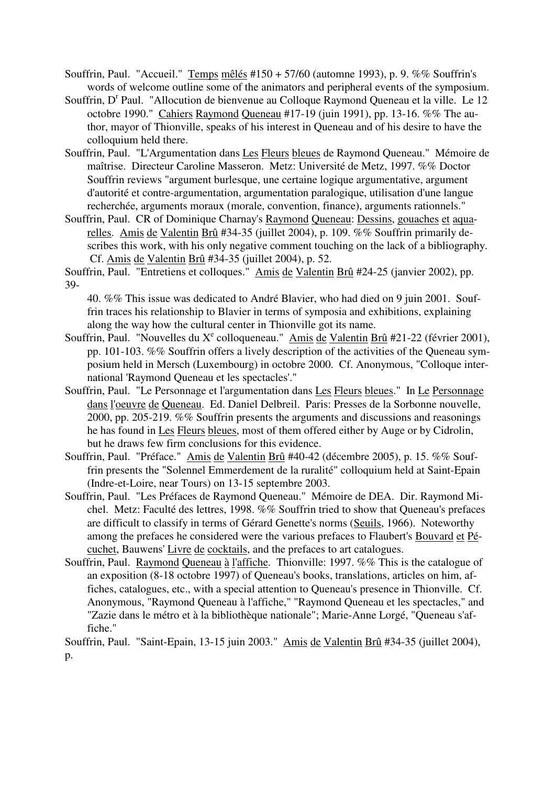- Souffrin, Paul. "Accueil." Temps mêlés #150 + 57/60 (automne 1993), p. 9. %% Souffrin's words of welcome outline some of the animators and peripheral events of the symposium.
- Souffrin, D<sup>r</sup> Paul. "Allocution de bienvenue au Colloque Raymond Queneau et la ville. Le 12 octobre 1990." Cahiers Raymond Queneau #17-19 (juin 1991), pp. 13-16. %% The author, mayor of Thionville, speaks of his interest in Queneau and of his desire to have the colloquium held there.
- Souffrin, Paul. "L'Argumentation dans Les Fleurs bleues de Raymond Queneau." Mémoire de maîtrise. Directeur Caroline Masseron. Metz: Université de Metz, 1997. %% Doctor Souffrin reviews "argument burlesque, une certaine logique argumentative, argument d'autorité et contre-argumentation, argumentation paralogique, utilisation d'une langue recherchée, arguments moraux (morale, convention, finance), arguments rationnels."
- Souffrin, Paul. CR of Dominique Charnay's Raymond Queneau: Dessins, gouaches et aquarelles. Amis de Valentin Brû #34-35 (juillet 2004), p. 109. %% Souffrin primarily describes this work, with his only negative comment touching on the lack of a bibliography. Cf. Amis de Valentin Brû #34-35 (juillet 2004), p. 52.
- Souffrin, Paul. "Entretiens et colloques." Amis de Valentin Brû #24-25 (janvier 2002), pp. 39-

40. %% This issue was dedicated to André Blavier, who had died on 9 juin 2001. Souffrin traces his relationship to Blavier in terms of symposia and exhibitions, explaining along the way how the cultural center in Thionville got its name.

- Souffrin, Paul. "Nouvelles du X<sup>e</sup> colloqueneau." Amis de Valentin Brû #21-22 (février 2001), pp. 101-103. %% Souffrin offers a lively description of the activities of the Queneau symposium held in Mersch (Luxembourg) in octobre 2000. Cf. Anonymous, "Colloque international 'Raymond Queneau et les spectacles'."
- Souffrin, Paul. "Le Personnage et l'argumentation dans Les Fleurs bleues." In Le Personnage dans l'oeuvre de Queneau. Ed. Daniel Delbreil. Paris: Presses de la Sorbonne nouvelle, 2000, pp. 205-219. %% Souffrin presents the arguments and discussions and reasonings he has found in Les Fleurs bleues, most of them offered either by Auge or by Cidrolin, but he draws few firm conclusions for this evidence.
- Souffrin, Paul. "Préface." Amis de Valentin Brû #40-42 (décembre 2005), p. 15. %% Souffrin presents the "Solennel Emmerdement de la ruralité" colloquium held at Saint-Epain (Indre-et-Loire, near Tours) on 13-15 septembre 2003.
- Souffrin, Paul. "Les Préfaces de Raymond Queneau." Mémoire de DEA. Dir. Raymond Michel. Metz: Faculté des lettres, 1998. %% Souffrin tried to show that Queneau's prefaces are difficult to classify in terms of Gérard Genette's norms (Seuils, 1966). Noteworthy among the prefaces he considered were the various prefaces to Flaubert's Bouvard et Pécuchet, Bauwens' Livre de cocktails, and the prefaces to art catalogues.
- Souffrin, Paul. Raymond Queneau à l'affiche. Thionville: 1997. %% This is the catalogue of an exposition (8-18 octobre 1997) of Queneau's books, translations, articles on him, affiches, catalogues, etc., with a special attention to Queneau's presence in Thionville. Cf. Anonymous, "Raymond Queneau à l'affiche," "Raymond Queneau et les spectacles," and "Zazie dans le métro et à la bibliothèque nationale"; Marie-Anne Lorgé, "Queneau s'affiche."

Souffrin, Paul. "Saint-Epain, 13-15 juin 2003." Amis de Valentin Brû #34-35 (juillet 2004), p.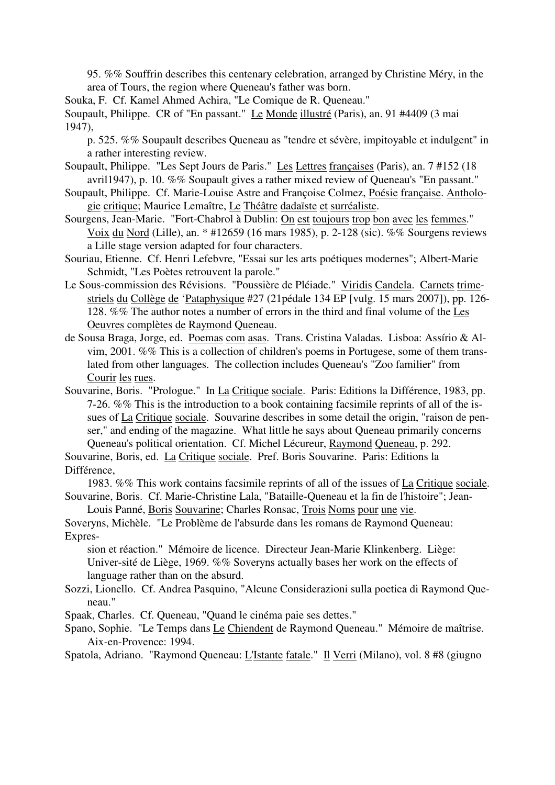95. %% Souffrin describes this centenary celebration, arranged by Christine Méry, in the area of Tours, the region where Queneau's father was born.

Souka, F. Cf. Kamel Ahmed Achira, "Le Comique de R. Queneau."

Soupault, Philippe. CR of "En passant." Le Monde illustré (Paris), an. 91 #4409 (3 mai 1947),

p. 525. %% Soupault describes Queneau as "tendre et sévère, impitoyable et indulgent" in a rather interesting review.

- Soupault, Philippe. "Les Sept Jours de Paris." Les Lettres françaises (Paris), an. 7 #152 (18 avril1947), p. 10. %% Soupault gives a rather mixed review of Queneau's "En passant."
- Soupault, Philippe. Cf. Marie-Louise Astre and Françoise Colmez, Poésie française. Anthologie critique; Maurice Lemaître, Le Théâtre dadaïste et surréaliste.
- Sourgens, Jean-Marie. "Fort-Chabrol à Dublin: On est toujours trop bon avec les femmes." Voix du Nord (Lille), an. \* #12659 (16 mars 1985), p. 2-128 (sic). %% Sourgens reviews a Lille stage version adapted for four characters.
- Souriau, Etienne. Cf. Henri Lefebvre, "Essai sur les arts poétiques modernes"; Albert-Marie Schmidt, "Les Poètes retrouvent la parole."
- Le Sous-commission des Révisions. "Poussière de Pléiade." Viridis Candela. Carnets trimestriels du Collège de 'Pataphysique #27 (21pédale 134 EP [vulg. 15 mars 2007]), pp. 126- 128. %% The author notes a number of errors in the third and final volume of the Les Oeuvres complètes de Raymond Queneau.
- de Sousa Braga, Jorge, ed. Poemas com asas. Trans. Cristina Valadas. Lisboa: Assírio & Alvim, 2001. %% This is a collection of children's poems in Portugese, some of them translated from other languages. The collection includes Queneau's "Zoo familier" from Courir les rues.
- Souvarine, Boris. "Prologue." In La Critique sociale. Paris: Editions la Différence, 1983, pp. 7-26. %% This is the introduction to a book containing facsimile reprints of all of the issues of La Critique sociale. Souvarine describes in some detail the origin, "raison de penser," and ending of the magazine. What little he says about Queneau primarily concerns Queneau's political orientation. Cf. Michel Lécureur, Raymond Queneau, p. 292.

Souvarine, Boris, ed. La Critique sociale. Pref. Boris Souvarine. Paris: Editions la Différence,

1983. %% This work contains facsimile reprints of all of the issues of La Critique sociale. Souvarine, Boris. Cf. Marie-Christine Lala, "Bataille-Queneau et la fin de l'histoire"; Jean-

Louis Panné, Boris Souvarine; Charles Ronsac, Trois Noms pour une vie.

Soveryns, Michèle. "Le Problème de l'absurde dans les romans de Raymond Queneau: Expres-

sion et réaction." Mémoire de licence. Directeur Jean-Marie Klinkenberg. Liège: Univer-sité de Liège, 1969. %% Soveryns actually bases her work on the effects of language rather than on the absurd.

Sozzi, Lionello. Cf. Andrea Pasquino, "Alcune Considerazioni sulla poetica di Raymond Queneau."

Spaak, Charles. Cf. Queneau, "Quand le cinéma paie ses dettes."

Spano, Sophie. "Le Temps dans Le Chiendent de Raymond Queneau." Mémoire de maîtrise. Aix-en-Provence: 1994.

Spatola, Adriano. "Raymond Queneau: L'Istante fatale." Il Verri (Milano), vol. 8 #8 (giugno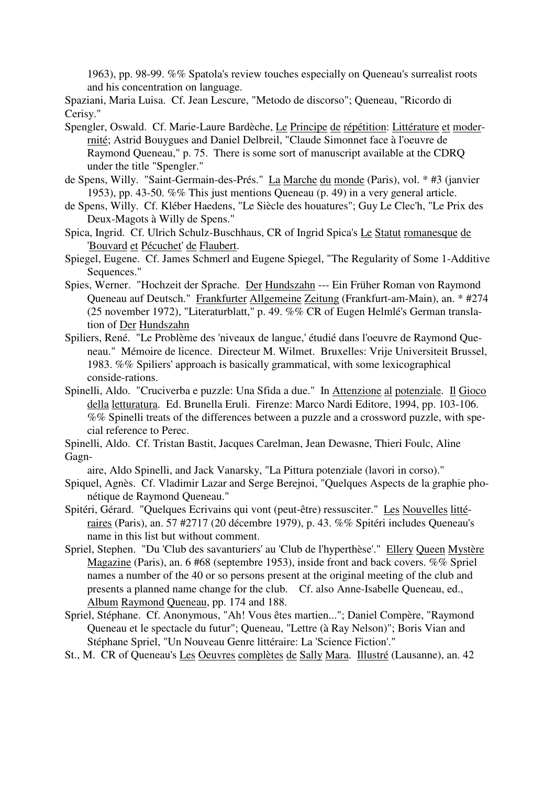1963), pp. 98-99. %% Spatola's review touches especially on Queneau's surrealist roots and his concentration on language.

Spaziani, Maria Luisa. Cf. Jean Lescure, "Metodo de discorso"; Queneau, "Ricordo di Cerisy."

- Spengler, Oswald. Cf. Marie-Laure Bardèche, Le Principe de répétition: Littérature et moderrnité; Astrid Bouygues and Daniel Delbreil, "Claude Simonnet face à l'oeuvre de Raymond Queneau," p. 75. There is some sort of manuscript available at the CDRQ under the title "Spengler."
- de Spens, Willy. "Saint-Germain-des-Prés." La Marche du monde (Paris), vol. \* #3 (janvier 1953), pp. 43-50. %% This just mentions Queneau (p. 49) in a very general article.
- de Spens, Willy. Cf. Kléber Haedens, "Le Siècle des houatures"; Guy Le Clec'h, "Le Prix des Deux-Magots à Willy de Spens."
- Spica, Ingrid. Cf. Ulrich Schulz-Buschhaus, CR of Ingrid Spica's Le Statut romanesque de 'Bouvard et Pécuchet' de Flaubert.
- Spiegel, Eugene. Cf. James Schmerl and Eugene Spiegel, "The Regularity of Some 1-Additive Sequences."
- Spies, Werner. "Hochzeit der Sprache. Der Hundszahn --- Ein Früher Roman von Raymond Queneau auf Deutsch." Frankfurter Allgemeine Zeitung (Frankfurt-am-Main), an. \* #274 (25 november 1972), "Literaturblatt," p. 49. %% CR of Eugen Helmlé's German translation of Der Hundszahn
- Spiliers, René. "Le Problème des 'niveaux de langue,' étudié dans l'oeuvre de Raymond Queneau." Mémoire de licence. Directeur M. Wilmet. Bruxelles: Vrije Universiteit Brussel, 1983. %% Spiliers' approach is basically grammatical, with some lexicographical conside-rations.
- Spinelli, Aldo. "Cruciverba e puzzle: Una Sfida a due." In Attenzione al potenziale. Il Gioco della letturatura. Ed. Brunella Eruli. Firenze: Marco Nardi Editore, 1994, pp. 103-106. %% Spinelli treats of the differences between a puzzle and a crossword puzzle, with special reference to Perec.
- Spinelli, Aldo. Cf. Tristan Bastit, Jacques Carelman, Jean Dewasne, Thieri Foulc, Aline Gagn
	- aire, Aldo Spinelli, and Jack Vanarsky, "La Pittura potenziale (lavori in corso)."
- Spiquel, Agnès. Cf. Vladimir Lazar and Serge Berejnoi, "Quelques Aspects de la graphie phonétique de Raymond Queneau."
- Spitéri, Gérard. "Quelques Ecrivains qui vont (peut-être) ressusciter." Les Nouvelles littéraires (Paris), an. 57 #2717 (20 décembre 1979), p. 43. %% Spitéri includes Queneau's name in this list but without comment.
- Spriel, Stephen. "Du 'Club des savanturiers' au 'Club de l'hyperthèse'." Ellery Queen Mystère Magazine (Paris), an. 6 #68 (septembre 1953), inside front and back covers. %% Spriel names a number of the 40 or so persons present at the original meeting of the club and presents a planned name change for the club. Cf. also Anne-Isabelle Queneau, ed., Album Raymond Queneau, pp. 174 and 188.
- Spriel, Stéphane. Cf. Anonymous, "Ah! Vous êtes martien..."; Daniel Compère, "Raymond Queneau et le spectacle du futur"; Queneau, "Lettre (à Ray Nelson)"; Boris Vian and Stéphane Spriel, "Un Nouveau Genre littéraire: La 'Science Fiction'."
- St., M. CR of Queneau's Les Oeuvres complètes de Sally Mara. Illustré (Lausanne), an. 42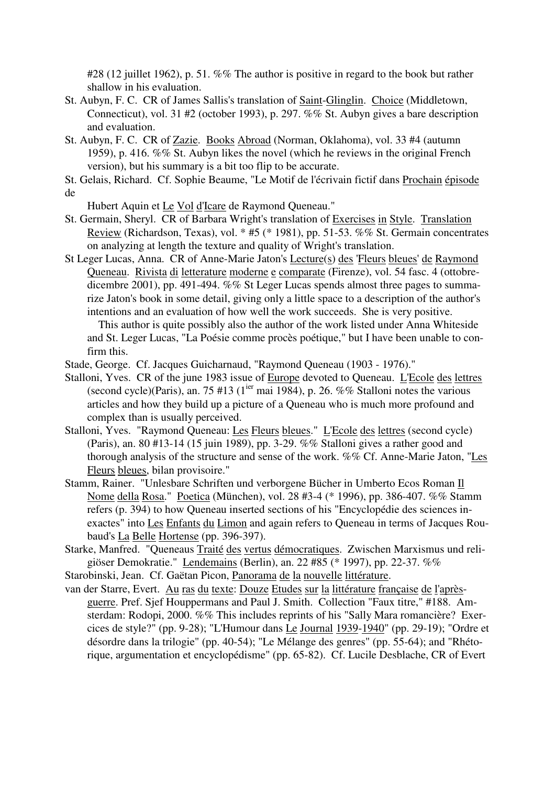#28 (12 juillet 1962), p. 51. %% The author is positive in regard to the book but rather shallow in his evaluation.

- St. Aubyn, F. C. CR of James Sallis's translation of Saint-Glinglin. Choice (Middletown, Connecticut), vol. 31 #2 (october 1993), p. 297. %% St. Aubyn gives a bare description and evaluation.
- St. Aubyn, F. C. CR of Zazie. Books Abroad (Norman, Oklahoma), vol. 33 #4 (autumn 1959), p. 416. %% St. Aubyn likes the novel (which he reviews in the original French version), but his summary is a bit too flip to be accurate.
- St. Gelais, Richard. Cf. Sophie Beaume, "Le Motif de l'écrivain fictif dans Prochain épisode de

Hubert Aquin et Le Vol d'Icare de Raymond Queneau."

- St. Germain, Sheryl. CR of Barbara Wright's translation of Exercises in Style. Translation Review (Richardson, Texas), vol. \* #5 (\* 1981), pp. 51-53. %% St. Germain concentrates on analyzing at length the texture and quality of Wright's translation.
- St Leger Lucas, Anna. CR of Anne-Marie Jaton's Lecture(s) des 'Fleurs bleues' de Raymond Queneau. Rivista di letterature moderne e comparate (Firenze), vol. 54 fasc. 4 (ottobredicembre 2001), pp. 491-494. %% St Leger Lucas spends almost three pages to summarize Jaton's book in some detail, giving only a little space to a description of the author's intentions and an evaluation of how well the work succeeds. She is very positive.

- Stade, George. Cf. Jacques Guicharnaud, "Raymond Queneau (1903 1976)."
- Stalloni, Yves. CR of the june 1983 issue of Europe devoted to Queneau. L'Ecole des lettres (second cycle)(Paris), an. 75 #13 ( $1^{ier}$  mai 1984), p. 26. %% Stalloni notes the various articles and how they build up a picture of a Queneau who is much more profound and complex than is usually perceived.
- Stalloni, Yves. "Raymond Queneau: Les Fleurs bleues." L'Ecole des lettres (second cycle) (Paris), an. 80 #13-14 (15 juin 1989), pp. 3-29. %% Stalloni gives a rather good and thorough analysis of the structure and sense of the work. %% Cf. Anne-Marie Jaton, "Les Fleurs bleues, bilan provisoire."
- Stamm, Rainer. "Unlesbare Schriften und verborgene Bücher in Umberto Ecos Roman Il Nome della Rosa." Poetica (München), vol. 28 #3-4 (\* 1996), pp. 386-407. %% Stamm refers (p. 394) to how Queneau inserted sections of his "Encyclopédie des sciences inexactes" into Les Enfants du Limon and again refers to Queneau in terms of Jacques Roubaud's La Belle Hortense (pp. 396-397).
- Starke, Manfred. "Queneaus Traité des vertus démocratiques. Zwischen Marxismus und religiöser Demokratie." Lendemains (Berlin), an. 22 #85 (\* 1997), pp. 22-37. %%

Starobinski, Jean. Cf. Gaëtan Picon, Panorama de la nouvelle littérature.

van der Starre, Evert. Au ras du texte: Douze Etudes sur la littérature française de l'aprèsguerre. Pref. Sjef Houppermans and Paul J. Smith. Collection "Faux titre," #188. Amsterdam: Rodopi, 2000. %% This includes reprints of his "Sally Mara romancière? Exercices de style?" (pp. 9-28); "L'Humour dans Le Journal 1939-1940" (pp. 29-19); "Ordre et désordre dans la trilogie" (pp. 40-54); "Le Mélange des genres" (pp. 55-64); and "Rhétorique, argumentation et encyclopédisme" (pp. 65-82). Cf. Lucile Desblache, CR of Evert

This author is quite possibly also the author of the work listed under Anna Whiteside and St. Leger Lucas, "La Poésie comme procès poétique," but I have been unable to confirm this.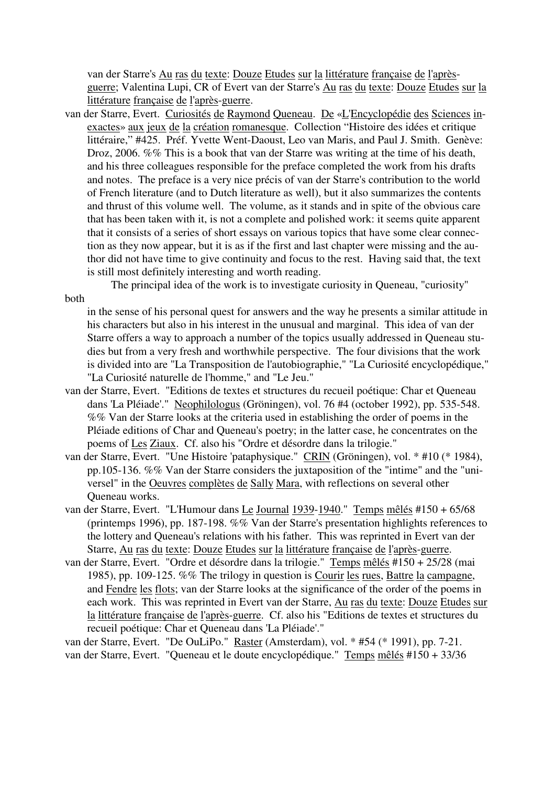van der Starre's Au ras du texte: Douze Etudes sur la littérature française de l'aprèsguerre; Valentina Lupi, CR of Evert van der Starre's Au ras du texte: Douze Etudes sur la littérature française de l'après-guerre.

van der Starre, Evert. Curiosités de Raymond Queneau. De «L'Encyclopédie des Sciences inexactes» aux jeux de la création romanesque. Collection "Histoire des idées et critique littéraire," #425. Préf. Yvette Went-Daoust, Leo van Maris, and Paul J. Smith. Genève: Droz, 2006. %% This is a book that van der Starre was writing at the time of his death, and his three colleagues responsible for the preface completed the work from his drafts and notes. The preface is a very nice précis of van der Starre's contribution to the world of French literature (and to Dutch literature as well), but it also summarizes the contents and thrust of this volume well. The volume, as it stands and in spite of the obvious care that has been taken with it, is not a complete and polished work: it seems quite apparent that it consists of a series of short essays on various topics that have some clear connection as they now appear, but it is as if the first and last chapter were missing and the author did not have time to give continuity and focus to the rest. Having said that, the text is still most definitely interesting and worth reading.

The principal idea of the work is to investigate curiosity in Queneau, "curiosity"

in the sense of his personal quest for answers and the way he presents a similar attitude in his characters but also in his interest in the unusual and marginal. This idea of van der Starre offers a way to approach a number of the topics usually addressed in Queneau studies but from a very fresh and worthwhile perspective. The four divisions that the work is divided into are "La Transposition de l'autobiographie," "La Curiosité encyclopédique," "La Curiosité naturelle de l'homme," and "Le Jeu."

- van der Starre, Evert. "Editions de textes et structures du recueil poétique: Char et Queneau dans 'La Pléiade'." Neophilologus (Gröningen), vol. 76 #4 (october 1992), pp. 535-548. %% Van der Starre looks at the criteria used in establishing the order of poems in the Pléiade editions of Char and Queneau's poetry; in the latter case, he concentrates on the poems of Les Ziaux. Cf. also his "Ordre et désordre dans la trilogie."
- van der Starre, Evert. "Une Histoire 'pataphysique." CRIN (Gröningen), vol. \* #10 (\* 1984), pp.105-136. %% Van der Starre considers the juxtaposition of the "intime" and the "universel" in the Oeuvres complètes de Sally Mara, with reflections on several other Queneau works.
- van der Starre, Evert. "L'Humour dans Le Journal 1939-1940." Temps mêlés #150 + 65/68 (printemps 1996), pp. 187-198. %% Van der Starre's presentation highlights references to the lottery and Queneau's relations with his father. This was reprinted in Evert van der Starre, Au ras du texte: Douze Etudes sur la littérature française de l'après-guerre.
- van der Starre, Evert. "Ordre et désordre dans la trilogie." Temps mêlés #150 + 25/28 (mai 1985), pp. 109-125. %% The trilogy in question is Courir les rues, Battre la campagne, and Fendre les flots; van der Starre looks at the significance of the order of the poems in each work. This was reprinted in Evert van der Starre, Au ras du texte: Douze Etudes sur la littérature française de l'après-guerre. Cf. also his "Editions de textes et structures du recueil poétique: Char et Queneau dans 'La Pléiade'."

van der Starre, Evert. "De OuLiPo." Raster (Amsterdam), vol. \* #54 (\* 1991), pp. 7-21. van der Starre, Evert. "Queneau et le doute encyclopédique." Temps mêlés #150 + 33/36

## both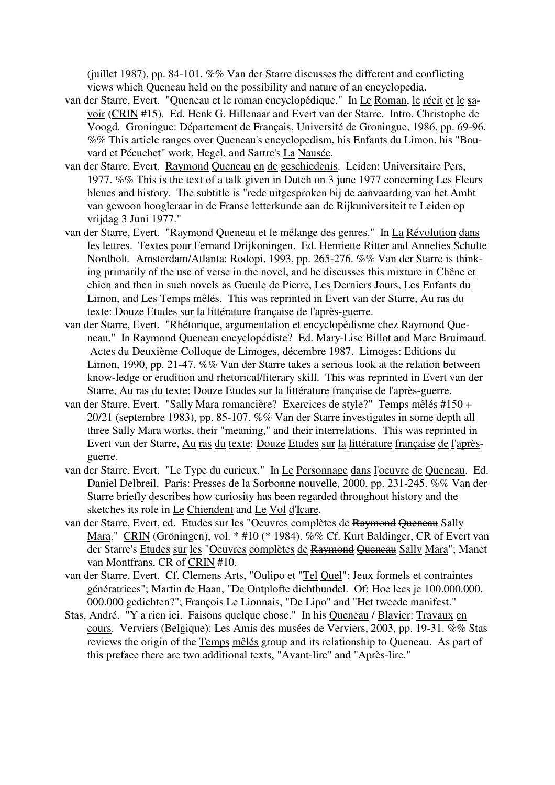(juillet 1987), pp. 84-101. %% Van der Starre discusses the different and conflicting views which Queneau held on the possibility and nature of an encyclopedia.

- van der Starre, Evert. "Queneau et le roman encyclopédique." In Le Roman, le récit et le savoir (CRIN #15). Ed. Henk G. Hillenaar and Evert van der Starre. Intro. Christophe de Voogd. Groningue: Département de Français, Université de Groningue, 1986, pp. 69-96. %% This article ranges over Queneau's encyclopedism, his Enfants du Limon, his "Bouvard et Pécuchet" work, Hegel, and Sartre's La Nausée.
- van der Starre, Evert. Raymond Queneau en de geschiedenis. Leiden: Universitaire Pers, 1977. %% This is the text of a talk given in Dutch on 3 june 1977 concerning Les Fleurs bleues and history. The subtitle is "rede uitgesproken bij de aanvaarding van het Ambt van gewoon hoogleraar in de Franse letterkunde aan de Rijkuniversiteit te Leiden op vrijdag 3 Juni 1977."
- van der Starre, Evert. "Raymond Queneau et le mélange des genres." In La Révolution dans les lettres. Textes pour Fernand Drijkoningen. Ed. Henriette Ritter and Annelies Schulte Nordholt. Amsterdam/Atlanta: Rodopi, 1993, pp. 265-276. %% Van der Starre is thinking primarily of the use of verse in the novel, and he discusses this mixture in Chêne et chien and then in such novels as Gueule de Pierre, Les Derniers Jours, Les Enfants du Limon, and Les Temps mêlés. This was reprinted in Evert van der Starre, Au ras du texte: Douze Etudes sur la littérature française de l'après-guerre.
- van der Starre, Evert. "Rhétorique, argumentation et encyclopédisme chez Raymond Queneau." In Raymond Queneau encyclopédiste? Ed. Mary-Lise Billot and Marc Bruimaud. Actes du Deuxième Colloque de Limoges, décembre 1987. Limoges: Editions du Limon, 1990, pp. 21-47. %% Van der Starre takes a serious look at the relation between know-ledge or erudition and rhetorical/literary skill. This was reprinted in Evert van der Starre, Au ras du texte: Douze Etudes sur la littérature française de l'après-guerre.
- van der Starre, Evert. "Sally Mara romancière? Exercices de style?" Temps mêlés #150 + 20/21 (septembre 1983), pp. 85-107. %% Van der Starre investigates in some depth all three Sally Mara works, their "meaning," and their interrelations. This was reprinted in Evert van der Starre, Au ras du texte: Douze Etudes sur la littérature française de l'aprèsguerre.
- van der Starre, Evert. "Le Type du curieux." In Le Personnage dans l'oeuvre de Queneau. Ed. Daniel Delbreil. Paris: Presses de la Sorbonne nouvelle, 2000, pp. 231-245. %% Van der Starre briefly describes how curiosity has been regarded throughout history and the sketches its role in Le Chiendent and Le Vol d'Icare.
- van der Starre, Evert, ed. Etudes sur les "Oeuvres complètes de Raymond Queneau Sally Mara." CRIN (Gröningen), vol. \* #10 (\* 1984). %% Cf. Kurt Baldinger, CR of Evert van der Starre's Etudes sur les "Oeuvres complètes de Raymond Queneau Sally Mara"; Manet van Montfrans, CR of CRIN #10.
- van der Starre, Evert. Cf. Clemens Arts, "Oulipo et "Tel Quel": Jeux formels et contraintes génératrices"; Martin de Haan, "De Ontplofte dichtbundel. Of: Hoe lees je 100.000.000. 000.000 gedichten?"; François Le Lionnais, "De Lipo" and "Het tweede manifest."
- Stas, André. "Y a rien ici. Faisons quelque chose." In his Queneau / Blavier: Travaux en cours. Verviers (Belgique): Les Amis des musées de Verviers, 2003, pp. 19-31. %% Stas reviews the origin of the Temps mêlés group and its relationship to Queneau. As part of this preface there are two additional texts, "Avant-lire" and "Après-lire."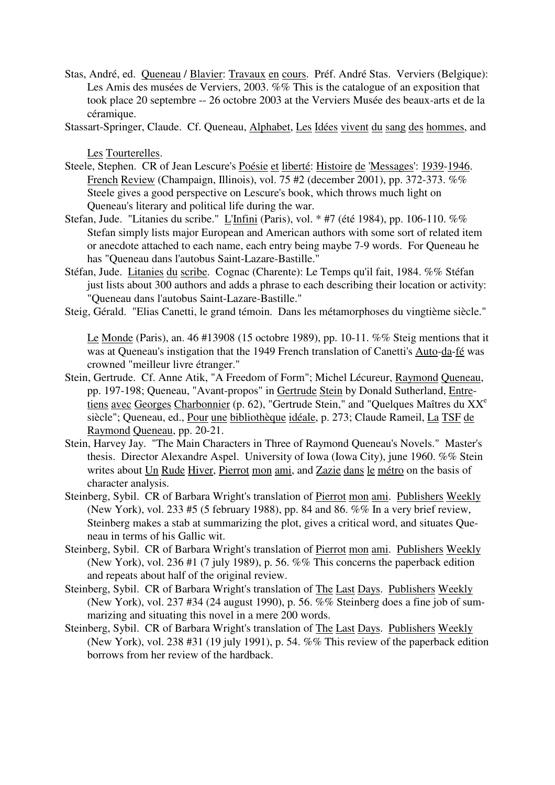Stas, André, ed. Queneau / Blavier: Travaux en cours. Préf. André Stas. Verviers (Belgique): Les Amis des musées de Verviers, 2003. %% This is the catalogue of an exposition that took place 20 septembre -- 26 octobre 2003 at the Verviers Musée des beaux-arts et de la céramique.

Stassart-Springer, Claude. Cf. Queneau, Alphabet, Les Idées vivent du sang des hommes, and

Les Tourterelles.

- Steele, Stephen. CR of Jean Lescure's Poésie et liberté: Histoire de 'Messages': 1939-1946. French Review (Champaign, Illinois), vol. 75 #2 (december 2001), pp. 372-373. %% Steele gives a good perspective on Lescure's book, which throws much light on Queneau's literary and political life during the war.
- Stefan, Jude. "Litanies du scribe." L'Infini (Paris), vol. \* #7 (été 1984), pp. 106-110. %% Stefan simply lists major European and American authors with some sort of related item or anecdote attached to each name, each entry being maybe 7-9 words. For Queneau he has "Queneau dans l'autobus Saint-Lazare-Bastille."
- Stéfan, Jude. Litanies du scribe. Cognac (Charente): Le Temps qu'il fait, 1984. %% Stéfan just lists about 300 authors and adds a phrase to each describing their location or activity: "Queneau dans l'autobus Saint-Lazare-Bastille."
- Steig, Gérald. "Elias Canetti, le grand témoin. Dans les métamorphoses du vingtième siècle."

Le Monde (Paris), an. 46 #13908 (15 octobre 1989), pp. 10-11. %% Steig mentions that it was at Queneau's instigation that the 1949 French translation of Canetti's Auto-da-fé was crowned "meilleur livre étranger."

- Stein, Gertrude. Cf. Anne Atik, "A Freedom of Form"; Michel Lécureur, Raymond Queneau, pp. 197-198; Queneau, "Avant-propos" in Gertrude Stein by Donald Sutherland, Entretiens avec Georges Charbonnier (p. 62), "Gertrude Stein," and "Quelques Maîtres du XX<sup>e</sup> siècle"; Queneau, ed., Pour une bibliothèque idéale, p. 273; Claude Rameil, La TSF de Raymond Queneau, pp. 20-21.
- Stein, Harvey Jay. "The Main Characters in Three of Raymond Queneau's Novels." Master's thesis. Director Alexandre Aspel. University of Iowa (Iowa City), june 1960. %% Stein writes about Un Rude Hiver, Pierrot mon ami, and Zazie dans le métro on the basis of character analysis.
- Steinberg, Sybil. CR of Barbara Wright's translation of Pierrot mon ami. Publishers Weekly (New York), vol. 233 #5 (5 february 1988), pp. 84 and 86. %% In a very brief review, Steinberg makes a stab at summarizing the plot, gives a critical word, and situates Queneau in terms of his Gallic wit.
- Steinberg, Sybil. CR of Barbara Wright's translation of Pierrot mon ami. Publishers Weekly (New York), vol. 236 #1 (7 july 1989), p. 56. %% This concerns the paperback edition and repeats about half of the original review.
- Steinberg, Sybil. CR of Barbara Wright's translation of The Last Days. Publishers Weekly (New York), vol. 237 #34 (24 august 1990), p. 56. %% Steinberg does a fine job of summarizing and situating this novel in a mere 200 words.
- Steinberg, Sybil. CR of Barbara Wright's translation of The Last Days. Publishers Weekly (New York), vol. 238 #31 (19 july 1991), p. 54. %% This review of the paperback edition borrows from her review of the hardback.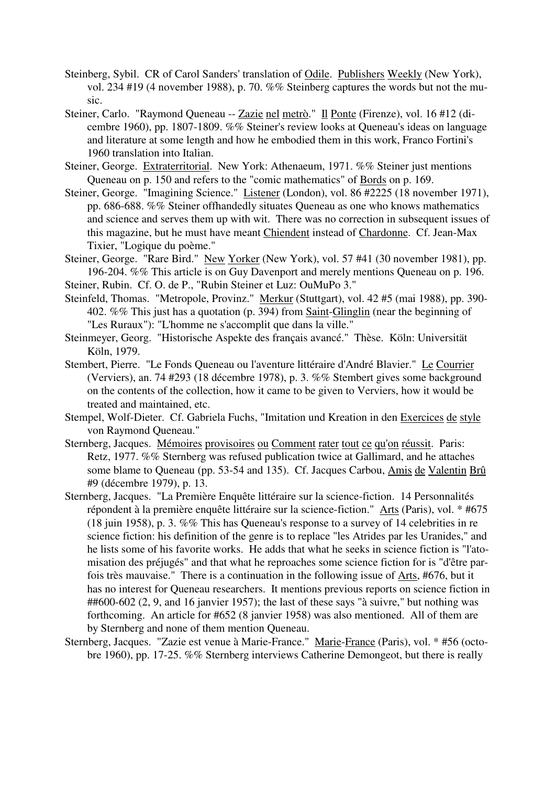- Steinberg, Sybil. CR of Carol Sanders' translation of Odile. Publishers Weekly (New York), vol. 234 #19 (4 november 1988), p. 70. %% Steinberg captures the words but not the music.
- Steiner, Carlo. "Raymond Queneau -- Zazie nel metrò." Il Ponte (Firenze), vol. 16 #12 (dicembre 1960), pp. 1807-1809. %% Steiner's review looks at Queneau's ideas on language and literature at some length and how he embodied them in this work, Franco Fortini's 1960 translation into Italian.
- Steiner, George. Extraterritorial. New York: Athenaeum, 1971. %% Steiner just mentions Queneau on p. 150 and refers to the "comic mathematics" of Bords on p. 169.
- Steiner, George. "Imagining Science." Listener (London), vol. 86 #2225 (18 november 1971), pp. 686-688. %% Steiner offhandedly situates Queneau as one who knows mathematics and science and serves them up with wit. There was no correction in subsequent issues of this magazine, but he must have meant Chiendent instead of Chardonne. Cf. Jean-Max Tixier, "Logique du poème."
- Steiner, George. "Rare Bird." New Yorker (New York), vol. 57 #41 (30 november 1981), pp. 196-204. %% This article is on Guy Davenport and merely mentions Queneau on p. 196.
- Steiner, Rubin. Cf. O. de P., "Rubin Steiner et Luz: OuMuPo 3."
- Steinfeld, Thomas. "Metropole, Provinz." Merkur (Stuttgart), vol. 42 #5 (mai 1988), pp. 390- 402. %% This just has a quotation (p. 394) from Saint-Glinglin (near the beginning of "Les Ruraux"): "L'homme ne s'accomplit que dans la ville."
- Steinmeyer, Georg. "Historische Aspekte des français avancé." Thèse. Köln: Universität Köln, 1979.
- Stembert, Pierre. "Le Fonds Queneau ou l'aventure littéraire d'André Blavier." Le Courrier (Verviers), an. 74 #293 (18 décembre 1978), p. 3. %% Stembert gives some background on the contents of the collection, how it came to be given to Verviers, how it would be treated and maintained, etc.
- Stempel, Wolf-Dieter. Cf. Gabriela Fuchs, "Imitation und Kreation in den Exercices de style von Raymond Queneau."
- Sternberg, Jacques. Mémoires provisoires ou Comment rater tout ce qu'on réussit. Paris: Retz, 1977. %% Sternberg was refused publication twice at Gallimard, and he attaches some blame to Queneau (pp. 53-54 and 135). Cf. Jacques Carbou, Amis de Valentin Brû #9 (décembre 1979), p. 13.
- Sternberg, Jacques. "La Première Enquête littéraire sur la science-fiction. 14 Personnalités répondent à la première enquête littéraire sur la science-fiction." Arts (Paris), vol. \* #675 (18 juin 1958), p. 3. %% This has Queneau's response to a survey of 14 celebrities in re science fiction: his definition of the genre is to replace "les Atrides par les Uranides," and he lists some of his favorite works. He adds that what he seeks in science fiction is "l'atomisation des préjugés" and that what he reproaches some science fiction for is "d'être parfois très mauvaise." There is a continuation in the following issue of Arts, #676, but it has no interest for Queneau researchers. It mentions previous reports on science fiction in ##600-602 (2, 9, and 16 janvier 1957); the last of these says "à suivre," but nothing was forthcoming. An article for #652 (8 janvier 1958) was also mentioned. All of them are by Sternberg and none of them mention Queneau.
- Sternberg, Jacques. "Zazie est venue à Marie-France." Marie-France (Paris), vol. \* #56 (octobre 1960), pp. 17-25. %% Sternberg interviews Catherine Demongeot, but there is really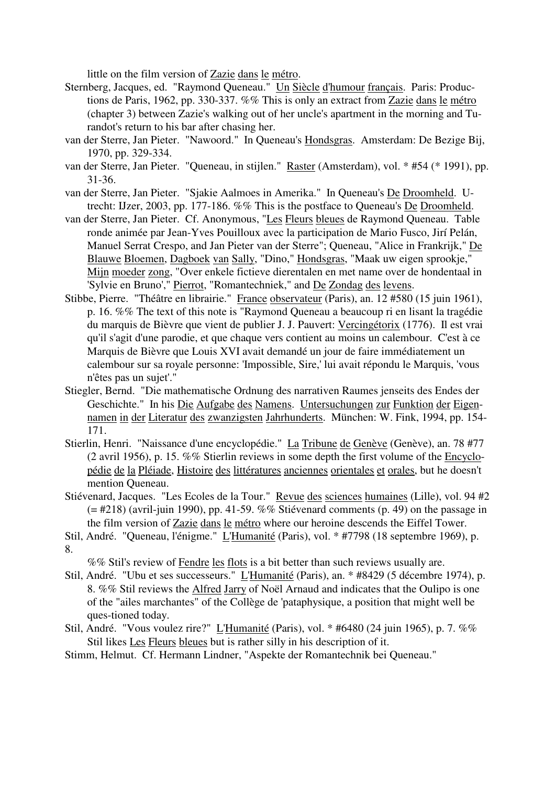little on the film version of Zazie dans le métro.

- Sternberg, Jacques, ed. "Raymond Queneau." Un Siècle d'humour français. Paris: Productions de Paris, 1962, pp. 330-337. %% This is only an extract from Zazie dans le métro (chapter 3) between Zazie's walking out of her uncle's apartment in the morning and Turandot's return to his bar after chasing her.
- van der Sterre, Jan Pieter. "Nawoord." In Queneau's Hondsgras. Amsterdam: De Bezige Bij, 1970, pp. 329-334.
- van der Sterre, Jan Pieter. "Queneau, in stijlen." Raster (Amsterdam), vol. \* #54 (\* 1991), pp. 31-36.
- van der Sterre, Jan Pieter. "Sjakie Aalmoes in Amerika." In Queneau's De Droomheld. Utrecht: IJzer, 2003, pp. 177-186. %% This is the postface to Queneau's De Droomheld.
- van der Sterre, Jan Pieter. Cf. Anonymous, "Les Fleurs bleues de Raymond Queneau. Table ronde animée par Jean-Yves Pouilloux avec la participation de Mario Fusco, Jirí Pelán, Manuel Serrat Crespo, and Jan Pieter van der Sterre"; Queneau, "Alice in Frankrijk," De Blauwe Bloemen, Dagboek van Sally, "Dino," Hondsgras, "Maak uw eigen sprookje," Mijn moeder zong, "Over enkele fictieve dierentalen en met name over de hondentaal in 'Sylvie en Bruno'," Pierrot, "Romantechniek," and De Zondag des levens.
- Stibbe, Pierre. "Théâtre en librairie." France observateur (Paris), an. 12 #580 (15 juin 1961), p. 16. %% The text of this note is "Raymond Queneau a beaucoup ri en lisant la tragédie du marquis de Bièvre que vient de publier J. J. Pauvert: Vercingétorix (1776). Il est vrai qu'il s'agit d'une parodie, et que chaque vers contient au moins un calembour. C'est à ce Marquis de Bièvre que Louis XVI avait demandé un jour de faire immédiatement un calembour sur sa royale personne: 'Impossible, Sire,' lui avait répondu le Marquis, 'vous n'êtes pas un sujet'."
- Stiegler, Bernd. "Die mathematische Ordnung des narrativen Raumes jenseits des Endes der Geschichte." In his Die Aufgabe des Namens. Untersuchungen zur Funktion der Eigennamen in der Literatur des zwanzigsten Jahrhunderts. München: W. Fink, 1994, pp. 154- 171.
- Stierlin, Henri. "Naissance d'une encyclopédie." La Tribune de Genève (Genève), an. 78 #77 (2 avril 1956), p. 15. %% Stierlin reviews in some depth the first volume of the Encyclopédie de la Pléiade, Histoire des littératures anciennes orientales et orales, but he doesn't mention Queneau.
- Stiévenard, Jacques. "Les Ecoles de la Tour." Revue des sciences humaines (Lille), vol. 94 #2  $(= \#218)$  (avril-juin 1990), pp. 41-59. %% Stiévenard comments (p. 49) on the passage in the film version of Zazie dans le métro where our heroine descends the Eiffel Tower.
- Stil, André. "Queneau, l'énigme." L'Humanité (Paris), vol. \* #7798 (18 septembre 1969), p. 8.

%% Stil's review of Fendre les flots is a bit better than such reviews usually are.

- Stil, André. "Ubu et ses successeurs." L'Humanité (Paris), an. \* #8429 (5 décembre 1974), p. 8. %% Stil reviews the Alfred Jarry of Noël Arnaud and indicates that the Oulipo is one of the "ailes marchantes" of the Collège de 'pataphysique, a position that might well be ques-tioned today.
- Stil, André. "Vous voulez rire?" L'Humanité (Paris), vol. \* #6480 (24 juin 1965), p. 7. %% Stil likes Les Fleurs bleues but is rather silly in his description of it.

Stimm, Helmut. Cf. Hermann Lindner, "Aspekte der Romantechnik bei Queneau."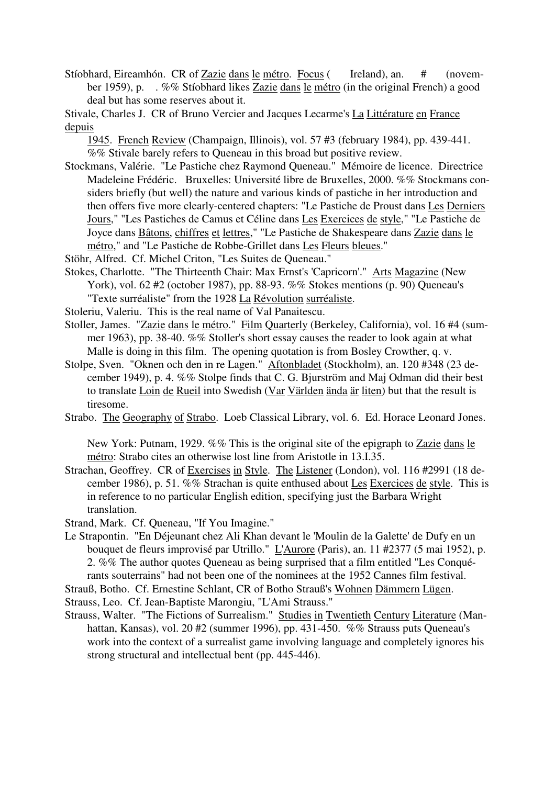Stíobhard, Eireamhón. CR of Zazie dans le métro. Focus ( Ireland), an. # (november 1959), p. . %% Stíobhard likes Zazie dans le métro (in the original French) a good deal but has some reserves about it.

Stivale, Charles J. CR of Bruno Vercier and Jacques Lecarme's La Littérature en France depuis

1945. French Review (Champaign, Illinois), vol. 57 #3 (february 1984), pp. 439-441. %% Stivale barely refers to Queneau in this broad but positive review.

- Stockmans, Valérie. "Le Pastiche chez Raymond Queneau." Mémoire de licence. Directrice Madeleine Frédéric. Bruxelles: Université libre de Bruxelles, 2000. %% Stockmans considers briefly (but well) the nature and various kinds of pastiche in her introduction and then offers five more clearly-centered chapters: "Le Pastiche de Proust dans Les Derniers Jours," "Les Pastiches de Camus et Céline dans Les Exercices de style," "Le Pastiche de Joyce dans Bâtons, chiffres et lettres," "Le Pastiche de Shakespeare dans Zazie dans le métro," and "Le Pastiche de Robbe-Grillet dans Les Fleurs bleues."
- Stöhr, Alfred. Cf. Michel Criton, "Les Suites de Queneau."
- Stokes, Charlotte. "The Thirteenth Chair: Max Ernst's 'Capricorn'." Arts Magazine (New York), vol. 62 #2 (october 1987), pp. 88-93. %% Stokes mentions (p. 90) Queneau's "Texte surréaliste" from the 1928 La Révolution surréaliste.
- Stoleriu, Valeriu. This is the real name of Val Panaitescu.
- Stoller, James. "Zazie dans le métro." Film Quarterly (Berkeley, California), vol. 16 #4 (summer 1963), pp. 38-40. %% Stoller's short essay causes the reader to look again at what Malle is doing in this film. The opening quotation is from Bosley Crowther, q. v.
- Stolpe, Sven. "Oknen och den in re Lagen." Aftonbladet (Stockholm), an. 120 #348 (23 december 1949), p. 4. %% Stolpe finds that C. G. Bjurström and Maj Odman did their best to translate Loin de Rueil into Swedish (Var Världen ända är liten) but that the result is tiresome.
- Strabo. The Geography of Strabo. Loeb Classical Library, vol. 6. Ed. Horace Leonard Jones.

New York: Putnam, 1929. %% This is the original site of the epigraph to Zazie dans le métro: Strabo cites an otherwise lost line from Aristotle in 13.I.35.

Strachan, Geoffrey. CR of Exercises in Style. The Listener (London), vol. 116 #2991 (18 december 1986), p. 51. %% Strachan is quite enthused about Les Exercices de style. This is in reference to no particular English edition, specifying just the Barbara Wright translation.

Strand, Mark. Cf. Queneau, "If You Imagine."

Le Strapontin. "En Déjeunant chez Ali Khan devant le 'Moulin de la Galette' de Dufy en un bouquet de fleurs improvisé par Utrillo." L'Aurore (Paris), an. 11 #2377 (5 mai 1952), p. 2. %% The author quotes Queneau as being surprised that a film entitled "Les Conquérants souterrains" had not been one of the nominees at the 1952 Cannes film festival.

Strauß, Botho. Cf. Ernestine Schlant, CR of Botho Strauß's Wohnen Dämmern Lügen. Strauss, Leo. Cf. Jean-Baptiste Marongiu, "L'Ami Strauss."

Strauss, Walter. "The Fictions of Surrealism." Studies in Twentieth Century Literature (Manhattan, Kansas), vol. 20 #2 (summer 1996), pp. 431-450. %% Strauss puts Queneau's work into the context of a surrealist game involving language and completely ignores his strong structural and intellectual bent (pp. 445-446).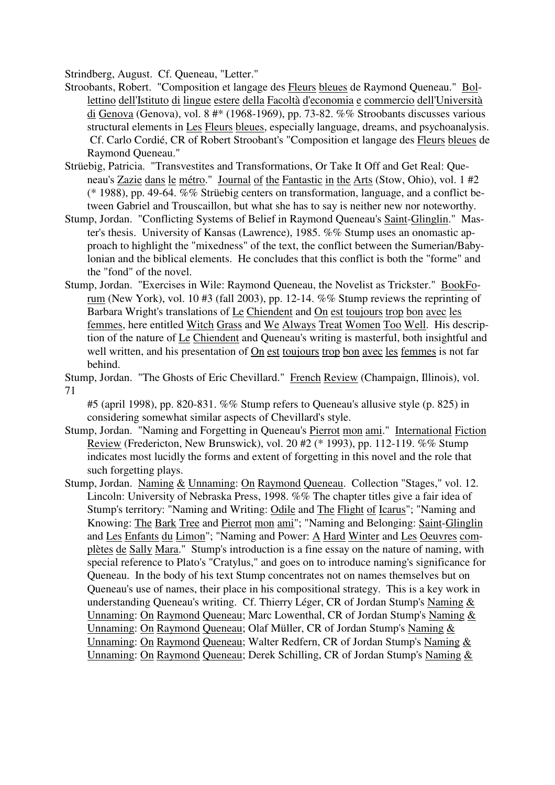Strindberg, August. Cf. Queneau, "Letter."

- Stroobants, Robert. "Composition et langage des Fleurs bleues de Raymond Queneau." Bollettino dell'Istituto di lingue estere della Facoltà d'economia e commercio dell'Università di Genova (Genova), vol. 8 #\* (1968-1969), pp. 73-82. %% Stroobants discusses various structural elements in Les Fleurs bleues, especially language, dreams, and psychoanalysis. Cf. Carlo Cordié, CR of Robert Stroobant's "Composition et langage des Fleurs bleues de Raymond Queneau."
- Strüebig, Patricia. "Transvestites and Transformations, Or Take It Off and Get Real: Queneau's Zazie dans le métro." Journal of the Fantastic in the Arts (Stow, Ohio), vol. 1 #2 (\* 1988), pp. 49-64. %% Strüebig centers on transformation, language, and a conflict between Gabriel and Trouscaillon, but what she has to say is neither new nor noteworthy.
- Stump, Jordan. "Conflicting Systems of Belief in Raymond Queneau's Saint-Glinglin." Master's thesis. University of Kansas (Lawrence), 1985. %% Stump uses an onomastic approach to highlight the "mixedness" of the text, the conflict between the Sumerian/Babylonian and the biblical elements. He concludes that this conflict is both the "forme" and the "fond" of the novel.
- Stump, Jordan. "Exercises in Wile: Raymond Queneau, the Novelist as Trickster." BookForum (New York), vol. 10 #3 (fall 2003), pp. 12-14. %% Stump reviews the reprinting of Barbara Wright's translations of Le Chiendent and On est toujours trop bon avec les femmes, here entitled Witch Grass and We Always Treat Women Too Well. His description of the nature of Le Chiendent and Queneau's writing is masterful, both insightful and well written, and his presentation of On est toujours trop bon avec les femmes is not far behind.
- Stump, Jordan. "The Ghosts of Eric Chevillard." French Review (Champaign, Illinois), vol. 71
	- #5 (april 1998), pp. 820-831. %% Stump refers to Queneau's allusive style (p. 825) in considering somewhat similar aspects of Chevillard's style.
- Stump, Jordan. "Naming and Forgetting in Queneau's Pierrot mon ami." International Fiction Review (Fredericton, New Brunswick), vol. 20 #2 (\* 1993), pp. 112-119. %% Stump indicates most lucidly the forms and extent of forgetting in this novel and the role that such forgetting plays.
- Stump, Jordan. Naming & Unnaming: On Raymond Queneau. Collection "Stages," vol. 12. Lincoln: University of Nebraska Press, 1998. %% The chapter titles give a fair idea of Stump's territory: "Naming and Writing: Odile and The Flight of Icarus"; "Naming and Knowing: The Bark Tree and Pierrot mon ami"; "Naming and Belonging: Saint-Glinglin and Les Enfants du Limon"; "Naming and Power: A Hard Winter and Les Oeuvres complètes de Sally Mara." Stump's introduction is a fine essay on the nature of naming, with special reference to Plato's "Cratylus," and goes on to introduce naming's significance for Queneau. In the body of his text Stump concentrates not on names themselves but on Queneau's use of names, their place in his compositional strategy. This is a key work in understanding Queneau's writing. Cf. Thierry Léger, CR of Jordan Stump's Naming & Unnaming: On Raymond Queneau; Marc Lowenthal, CR of Jordan Stump's Naming & Unnaming: On Raymond Queneau; Olaf Müller, CR of Jordan Stump's Naming & Unnaming: On Raymond Queneau; Walter Redfern, CR of Jordan Stump's Naming & Unnaming: On Raymond Queneau; Derek Schilling, CR of Jordan Stump's Naming &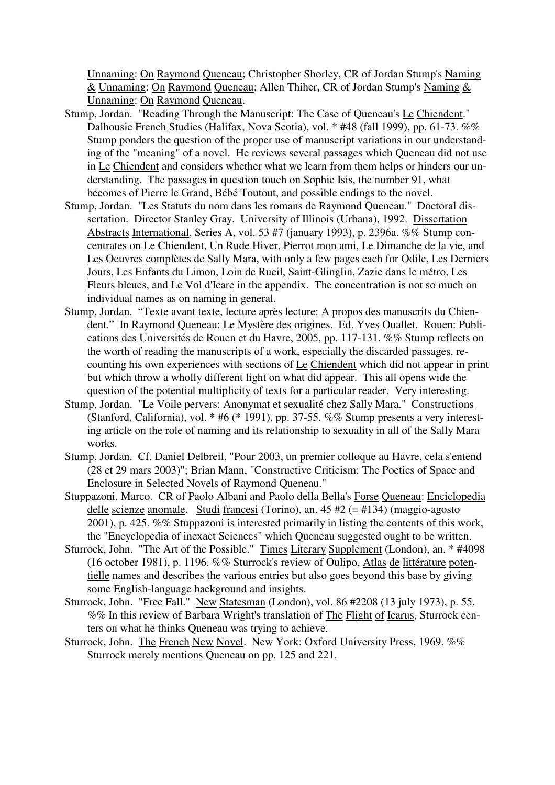Unnaming: On Raymond Queneau; Christopher Shorley, CR of Jordan Stump's Naming & Unnaming: On Raymond Queneau; Allen Thiher, CR of Jordan Stump's Naming & Unnaming: On Raymond Queneau.

- Stump, Jordan. "Reading Through the Manuscript: The Case of Queneau's Le Chiendent." Dalhousie French Studies (Halifax, Nova Scotia), vol. \* #48 (fall 1999), pp. 61-73. %% Stump ponders the question of the proper use of manuscript variations in our understanding of the "meaning" of a novel. He reviews several passages which Queneau did not use in Le Chiendent and considers whether what we learn from them helps or hinders our understanding. The passages in question touch on Sophie Isis, the number 91, what becomes of Pierre le Grand, Bébé Toutout, and possible endings to the novel.
- Stump, Jordan. "Les Statuts du nom dans les romans de Raymond Queneau." Doctoral dissertation. Director Stanley Gray. University of Illinois (Urbana), 1992. Dissertation Abstracts International, Series A, vol. 53 #7 (january 1993), p. 2396a. %% Stump concentrates on Le Chiendent, Un Rude Hiver, Pierrot mon ami, Le Dimanche de la vie, and Les Oeuvres complètes de Sally Mara, with only a few pages each for Odile, Les Derniers Jours, Les Enfants du Limon, Loin de Rueil, Saint-Glinglin, Zazie dans le métro, Les Fleurs bleues, and Le Vol d'Icare in the appendix. The concentration is not so much on individual names as on naming in general.
- Stump, Jordan. "Texte avant texte, lecture après lecture: A propos des manuscrits du Chiendent." In Raymond Queneau: Le Mystère des origines. Ed. Yves Ouallet. Rouen: Publications des Universités de Rouen et du Havre, 2005, pp. 117-131. %% Stump reflects on the worth of reading the manuscripts of a work, especially the discarded passages, recounting his own experiences with sections of Le Chiendent which did not appear in print but which throw a wholly different light on what did appear. This all opens wide the question of the potential multiplicity of texts for a particular reader. Very interesting.
- Stump, Jordan. "Le Voile pervers: Anonymat et sexualité chez Sally Mara." Constructions (Stanford, California), vol. \* #6 (\* 1991), pp. 37-55. %% Stump presents a very interesting article on the role of naming and its relationship to sexuality in all of the Sally Mara works.
- Stump, Jordan. Cf. Daniel Delbreil, "Pour 2003, un premier colloque au Havre, cela s'entend (28 et 29 mars 2003)"; Brian Mann, "Constructive Criticism: The Poetics of Space and Enclosure in Selected Novels of Raymond Queneau."
- Stuppazoni, Marco. CR of Paolo Albani and Paolo della Bella's Forse Queneau: Enciclopedia delle scienze anomale. Studi francesi (Torino), an. 45 #2 (= #134) (maggio-agosto 2001), p. 425. %% Stuppazoni is interested primarily in listing the contents of this work, the "Encyclopedia of inexact Sciences" which Queneau suggested ought to be written.
- Sturrock, John. "The Art of the Possible." Times Literary Supplement (London), an. \* #4098 (16 october 1981), p. 1196. %% Sturrock's review of Oulipo, Atlas de littérature potentielle names and describes the various entries but also goes beyond this base by giving some English-language background and insights.
- Sturrock, John. "Free Fall." New Statesman (London), vol. 86 #2208 (13 july 1973), p. 55. %% In this review of Barbara Wright's translation of The Flight of Icarus, Sturrock centers on what he thinks Queneau was trying to achieve.
- Sturrock, John. The French New Novel. New York: Oxford University Press, 1969. %% Sturrock merely mentions Queneau on pp. 125 and 221.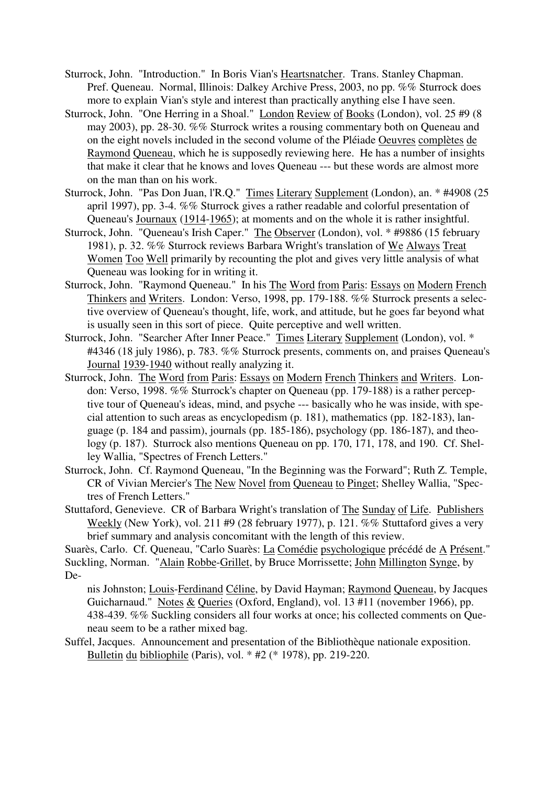- Sturrock, John. "Introduction." In Boris Vian's Heartsnatcher. Trans. Stanley Chapman. Pref. Queneau. Normal, Illinois: Dalkey Archive Press, 2003, no pp. %% Sturrock does more to explain Vian's style and interest than practically anything else I have seen.
- Sturrock, John. "One Herring in a Shoal." London Review of Books (London), vol. 25 #9 (8 may 2003), pp. 28-30. %% Sturrock writes a rousing commentary both on Queneau and on the eight novels included in the second volume of the Pléiade Oeuvres complètes de Raymond Queneau, which he is supposedly reviewing here. He has a number of insights that make it clear that he knows and loves Queneau --- but these words are almost more on the man than on his work.
- Sturrock, John. "Pas Don Juan, l'R.Q." Times Literary Supplement (London), an. \* #4908 (25 april 1997), pp. 3-4. %% Sturrock gives a rather readable and colorful presentation of Queneau's Journaux (1914-1965); at moments and on the whole it is rather insightful.
- Sturrock, John. "Queneau's Irish Caper." The Observer (London), vol. \* #9886 (15 february 1981), p. 32. %% Sturrock reviews Barbara Wright's translation of We Always Treat Women Too Well primarily by recounting the plot and gives very little analysis of what Queneau was looking for in writing it.
- Sturrock, John. "Raymond Queneau." In his The Word from Paris: Essays on Modern French Thinkers and Writers. London: Verso, 1998, pp. 179-188. %% Sturrock presents a selective overview of Queneau's thought, life, work, and attitude, but he goes far beyond what is usually seen in this sort of piece. Quite perceptive and well written.
- Sturrock, John. "Searcher After Inner Peace." Times Literary Supplement (London), vol. \* #4346 (18 july 1986), p. 783. %% Sturrock presents, comments on, and praises Queneau's Journal 1939-1940 without really analyzing it.
- Sturrock, John. The Word from Paris: Essays on Modern French Thinkers and Writers. London: Verso, 1998. %% Sturrock's chapter on Queneau (pp. 179-188) is a rather perceptive tour of Queneau's ideas, mind, and psyche --- basically who he was inside, with special attention to such areas as encyclopedism (p. 181), mathematics (pp. 182-183), language (p. 184 and passim), journals (pp. 185-186), psychology (pp. 186-187), and theology (p. 187). Sturrock also mentions Queneau on pp. 170, 171, 178, and 190. Cf. Shelley Wallia, "Spectres of French Letters."
- Sturrock, John. Cf. Raymond Queneau, "In the Beginning was the Forward"; Ruth Z. Temple, CR of Vivian Mercier's The New Novel from Queneau to Pinget; Shelley Wallia, "Spectres of French Letters."
- Stuttaford, Genevieve. CR of Barbara Wright's translation of The Sunday of Life. Publishers Weekly (New York), vol. 211 #9 (28 february 1977), p. 121. %% Stuttaford gives a very brief summary and analysis concomitant with the length of this review.

Suarès, Carlo. Cf. Queneau, "Carlo Suarès: La Comédie psychologique précédé de A Présent." Suckling, Norman. "Alain Robbe-Grillet, by Bruce Morrissette; John Millington Synge, by De-

nis Johnston; Louis-Ferdinand Céline, by David Hayman; Raymond Queneau, by Jacques Guicharnaud." Notes & Queries (Oxford, England), vol. 13 #11 (november 1966), pp. 438-439. %% Suckling considers all four works at once; his collected comments on Queneau seem to be a rather mixed bag.

Suffel, Jacques. Announcement and presentation of the Bibliothèque nationale exposition. Bulletin du bibliophile (Paris), vol. \* #2 (\* 1978), pp. 219-220.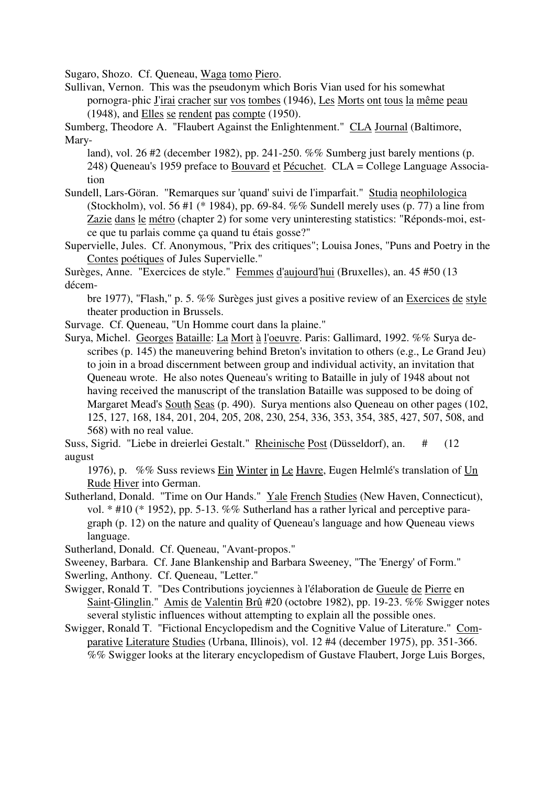Sugaro, Shozo. Cf. Queneau, Waga tomo Piero.

Sullivan, Vernon. This was the pseudonym which Boris Vian used for his somewhat pornogra- phic J'irai cracher sur vos tombes (1946), Les Morts ont tous la même peau (1948), and Elles se rendent pas compte (1950).

Sumberg, Theodore A. "Flaubert Against the Enlightenment." CLA Journal (Baltimore, Mary-

land), vol. 26 #2 (december 1982), pp. 241-250. %% Sumberg just barely mentions (p. 248) Queneau's 1959 preface to Bouvard et Pécuchet. CLA = College Language Association

Sundell, Lars-Göran. "Remarques sur 'quand' suivi de l'imparfait." Studia neophilologica (Stockholm), vol. 56 #1 (\* 1984), pp. 69-84. %% Sundell merely uses (p. 77) a line from Zazie dans le métro (chapter 2) for some very uninteresting statistics: "Réponds-moi, estce que tu parlais comme ça quand tu étais gosse?"

Supervielle, Jules. Cf. Anonymous, "Prix des critiques"; Louisa Jones, "Puns and Poetry in the Contes poétiques of Jules Supervielle."

Surèges, Anne. "Exercices de style." Femmes d'aujourd'hui (Bruxelles), an. 45 #50 (13 décem-

bre 1977), "Flash," p. 5. %% Surèges just gives a positive review of an Exercices de style theater production in Brussels.

Survage. Cf. Queneau, "Un Homme court dans la plaine."

Surya, Michel. Georges Bataille: La Mort à l'oeuvre. Paris: Gallimard, 1992. %% Surya describes (p. 145) the maneuvering behind Breton's invitation to others (e.g., Le Grand Jeu) to join in a broad discernment between group and individual activity, an invitation that Queneau wrote. He also notes Queneau's writing to Bataille in july of 1948 about not having received the manuscript of the translation Bataille was supposed to be doing of Margaret Mead's South Seas (p. 490). Surya mentions also Queneau on other pages (102, 125, 127, 168, 184, 201, 204, 205, 208, 230, 254, 336, 353, 354, 385, 427, 507, 508, and 568) with no real value.

Suss, Sigrid. "Liebe in dreierlei Gestalt." Rheinische Post (Düsseldorf), an. # (12 august

1976), p. %% Suss reviews Ein Winter in Le Havre, Eugen Helmlé's translation of Un Rude Hiver into German.

Sutherland, Donald. "Time on Our Hands." Yale French Studies (New Haven, Connecticut), vol. \* #10 (\* 1952), pp. 5-13. %% Sutherland has a rather lyrical and perceptive paragraph (p. 12) on the nature and quality of Queneau's language and how Queneau views language.

Sutherland, Donald. Cf. Queneau, "Avant-propos."

Sweeney, Barbara. Cf. Jane Blankenship and Barbara Sweeney, "The 'Energy' of Form."

- Swerling, Anthony. Cf. Queneau, "Letter."
- Swigger, Ronald T. "Des Contributions joyciennes à l'élaboration de Gueule de Pierre en Saint-Glinglin." Amis de Valentin Brû #20 (octobre 1982), pp. 19-23. %% Swigger notes several stylistic influences without attempting to explain all the possible ones.
- Swigger, Ronald T. "Fictional Encyclopedism and the Cognitive Value of Literature." Comparative Literature Studies (Urbana, Illinois), vol. 12 #4 (december 1975), pp. 351-366. %% Swigger looks at the literary encyclopedism of Gustave Flaubert, Jorge Luis Borges,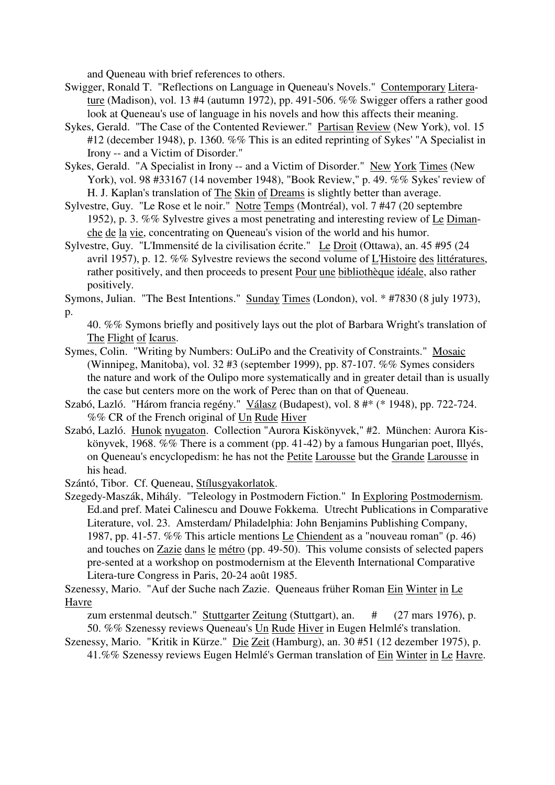and Queneau with brief references to others.

- Swigger, Ronald T. "Reflections on Language in Queneau's Novels." Contemporary Literature (Madison), vol. 13 #4 (autumn 1972), pp. 491-506. %% Swigger offers a rather good look at Queneau's use of language in his novels and how this affects their meaning.
- Sykes, Gerald. "The Case of the Contented Reviewer." Partisan Review (New York), vol. 15 #12 (december 1948), p. 1360. %% This is an edited reprinting of Sykes' "A Specialist in Irony -- and a Victim of Disorder."
- Sykes, Gerald. "A Specialist in Irony -- and a Victim of Disorder." New York Times (New York), vol. 98 #33167 (14 november 1948), "Book Review," p. 49. %% Sykes' review of H. J. Kaplan's translation of The Skin of Dreams is slightly better than average.
- Sylvestre, Guy. "Le Rose et le noir." Notre Temps (Montréal), vol. 7 #47 (20 septembre 1952), p. 3. %% Sylvestre gives a most penetrating and interesting review of Le Dimanche de la vie, concentrating on Queneau's vision of the world and his humor.
- Sylvestre, Guy. "L'Immensité de la civilisation écrite." Le Droit (Ottawa), an. 45 #95 (24 avril 1957), p. 12. %% Sylvestre reviews the second volume of L'Histoire des littératures, rather positively, and then proceeds to present Pour une bibliothèque idéale, also rather positively.

Symons, Julian. "The Best Intentions." Sunday Times (London), vol. \* #7830 (8 july 1973), p.

40. %% Symons briefly and positively lays out the plot of Barbara Wright's translation of The Flight of Icarus.

- Symes, Colin. "Writing by Numbers: OuLiPo and the Creativity of Constraints." Mosaic (Winnipeg, Manitoba), vol. 32 #3 (september 1999), pp. 87-107. %% Symes considers the nature and work of the Oulipo more systematically and in greater detail than is usually the case but centers more on the work of Perec than on that of Queneau.
- Szabó, Lazló. "Három francia regény." Válasz (Budapest), vol. 8 #\* (\* 1948), pp. 722-724. %% CR of the French original of Un Rude Hiver
- Szabó, Lazló. Hunok nyugaton. Collection "Aurora Kiskönyvek," #2. München: Aurora Kiskönyvek, 1968. %% There is a comment (pp. 41-42) by a famous Hungarian poet, Illyés, on Queneau's encyclopedism: he has not the Petite Larousse but the Grande Larousse in his head.

Szántó, Tibor. Cf. Queneau, Stílusgyakorlatok.

Szegedy-Maszák, Mihály. "Teleology in Postmodern Fiction." In Exploring Postmodernism. Ed.and pref. Matei Calinescu and Douwe Fokkema. Utrecht Publications in Comparative Literature, vol. 23. Amsterdam/ Philadelphia: John Benjamins Publishing Company, 1987, pp. 41-57. %% This article mentions Le Chiendent as a "nouveau roman" (p. 46) and touches on Zazie dans le métro (pp. 49-50). This volume consists of selected papers pre-sented at a workshop on postmodernism at the Eleventh International Comparative Litera-ture Congress in Paris, 20-24 août 1985.

Szenessy, Mario. "Auf der Suche nach Zazie. Queneaus früher Roman Ein Winter in Le Havre

zum erstenmal deutsch." Stuttgarter Zeitung (Stuttgart), an. # (27 mars 1976), p. 50. %% Szenessy reviews Queneau's Un Rude Hiver in Eugen Helmlé's translation.

Szenessy, Mario. "Kritik in Kürze." Die Zeit (Hamburg), an. 30 #51 (12 dezember 1975), p. 41.%% Szenessy reviews Eugen Helmlé's German translation of Ein Winter in Le Havre.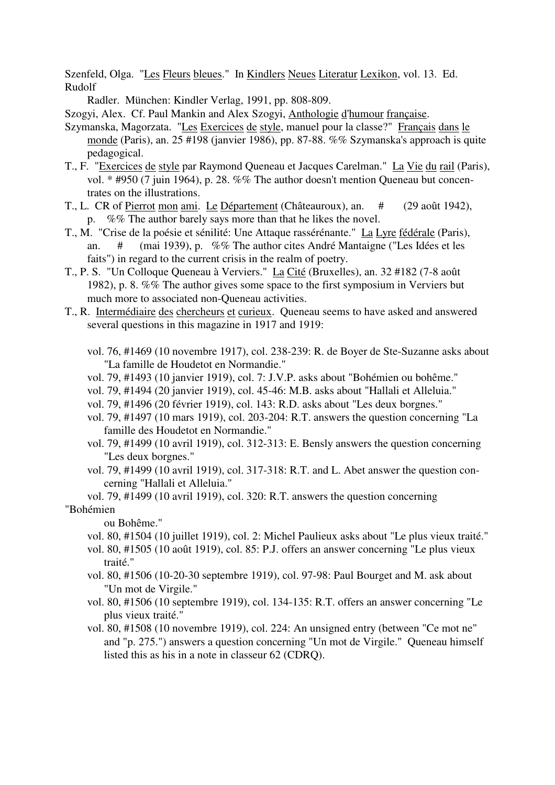Szenfeld, Olga. "Les Fleurs bleues." In Kindlers Neues Literatur Lexikon, vol. 13. Ed. Rudolf

Radler. München: Kindler Verlag, 1991, pp. 808-809.

Szogyi, Alex. Cf. Paul Mankin and Alex Szogyi, Anthologie d'humour française.

- Szymanska, Magorzata. "Les Exercices de style, manuel pour la classe?" Français dans le monde (Paris), an. 25 #198 (janvier 1986), pp. 87-88. %% Szymanska's approach is quite pedagogical.
- T., F. "Exercices de style par Raymond Queneau et Jacques Carelman." La Vie du rail (Paris), vol. \* #950 (7 juin 1964), p. 28. %% The author doesn't mention Queneau but concentrates on the illustrations.
- T., L. CR of Pierrot mon ami. Le Département (Châteauroux), an. # (29 août 1942), p. %% The author barely says more than that he likes the novel.
- T., M. "Crise de la poésie et sénilité: Une Attaque rassérénante." La Lyre fédérale (Paris), an. # (mai 1939), p. %% The author cites André Mantaigne ("Les Idées et les faits") in regard to the current crisis in the realm of poetry.
- T., P. S. "Un Colloque Queneau à Verviers." La Cité (Bruxelles), an. 32 #182 (7-8 août 1982), p. 8. %% The author gives some space to the first symposium in Verviers but much more to associated non-Queneau activities.
- T., R. Intermédiaire des chercheurs et curieux. Queneau seems to have asked and answered several questions in this magazine in 1917 and 1919:
	- vol. 76, #1469 (10 novembre 1917), col. 238-239: R. de Boyer de Ste-Suzanne asks about "La famille de Houdetot en Normandie."
	- vol. 79, #1493 (10 janvier 1919), col. 7: J.V.P. asks about "Bohémien ou bohême."
	- vol. 79, #1494 (20 janvier 1919), col. 45-46: M.B. asks about "Hallali et Alleluia."
	- vol. 79, #1496 (20 février 1919), col. 143: R.D. asks about "Les deux borgnes."
	- vol. 79, #1497 (10 mars 1919), col. 203-204: R.T. answers the question concerning "La famille des Houdetot en Normandie."
	- vol. 79, #1499 (10 avril 1919), col. 312-313: E. Bensly answers the question concerning "Les deux borgnes."
	- vol. 79, #1499 (10 avril 1919), col. 317-318: R.T. and L. Abet answer the question concerning "Hallali et Alleluia."
- vol. 79, #1499 (10 avril 1919), col. 320: R.T. answers the question concerning "Bohémien

ou Bohême."

- vol. 80, #1504 (10 juillet 1919), col. 2: Michel Paulieux asks about "Le plus vieux traité."
- vol. 80, #1505 (10 août 1919), col. 85: P.J. offers an answer concerning "Le plus vieux traité."
- vol. 80, #1506 (10-20-30 septembre 1919), col. 97-98: Paul Bourget and M. ask about "Un mot de Virgile."
- vol. 80, #1506 (10 septembre 1919), col. 134-135: R.T. offers an answer concerning "Le plus vieux traité."
- vol. 80, #1508 (10 novembre 1919), col. 224: An unsigned entry (between "Ce mot ne" and "p. 275.") answers a question concerning "Un mot de Virgile." Queneau himself listed this as his in a note in classeur 62 (CDRQ).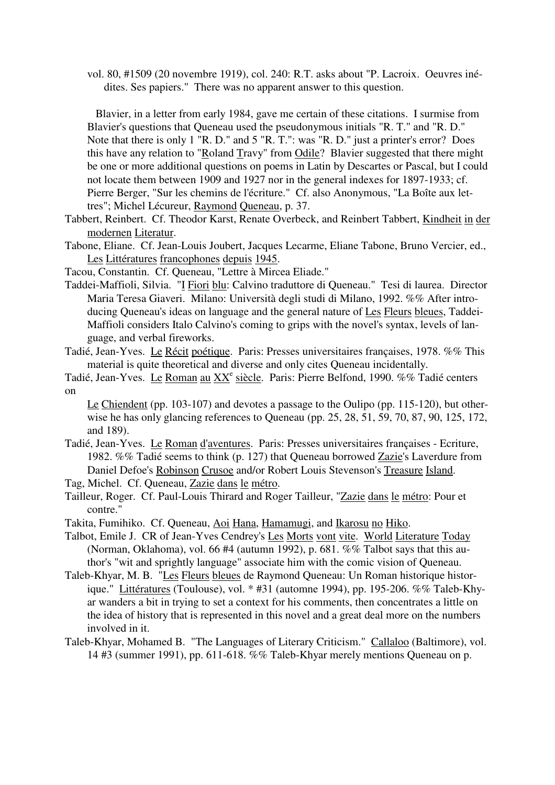vol. 80, #1509 (20 novembre 1919), col. 240: R.T. asks about "P. Lacroix. Oeuvres inédites. Ses papiers." There was no apparent answer to this question.

 Blavier, in a letter from early 1984, gave me certain of these citations. I surmise from Blavier's questions that Queneau used the pseudonymous initials "R. T." and "R. D." Note that there is only 1 "R. D." and 5 "R. T.": was "R. D." just a printer's error? Does this have any relation to "Roland Travy" from Odile? Blavier suggested that there might be one or more additional questions on poems in Latin by Descartes or Pascal, but I could not locate them between 1909 and 1927 nor in the general indexes for 1897-1933; cf. Pierre Berger, "Sur les chemins de l'écriture." Cf. also Anonymous, "La Boîte aux lettres"; Michel Lécureur, Raymond Queneau, p. 37.

- Tabbert, Reinbert. Cf. Theodor Karst, Renate Overbeck, and Reinbert Tabbert, Kindheit in der modernen Literatur.
- Tabone, Eliane. Cf. Jean-Louis Joubert, Jacques Lecarme, Eliane Tabone, Bruno Vercier, ed., Les Littératures francophones depuis 1945.
- Tacou, Constantin. Cf. Queneau, "Lettre à Mircea Eliade."
- Taddei-Maffioli, Silvia. "I Fiori blu: Calvino traduttore di Queneau." Tesi di laurea. Director Maria Teresa Giaveri. Milano: Università degli studi di Milano, 1992. %% After introducing Queneau's ideas on language and the general nature of Les Fleurs bleues, Taddei-Maffioli considers Italo Calvino's coming to grips with the novel's syntax, levels of language, and verbal fireworks.
- Tadié, Jean-Yves. Le Récit poétique. Paris: Presses universitaires françaises, 1978. %% This material is quite theoretical and diverse and only cites Queneau incidentally.
- Tadié, Jean-Yves. Le Roman au XX<sup>e</sup> siècle. Paris: Pierre Belfond, 1990. %% Tadié centers on
	- Le Chiendent (pp. 103-107) and devotes a passage to the Oulipo (pp. 115-120), but otherwise he has only glancing references to Queneau (pp. 25, 28, 51, 59, 70, 87, 90, 125, 172, and 189).
- Tadié, Jean-Yves. Le Roman d'aventures. Paris: Presses universitaires françaises Ecriture, 1982. %% Tadié seems to think (p. 127) that Queneau borrowed Zazie's Laverdure from Daniel Defoe's Robinson Crusoe and/or Robert Louis Stevenson's Treasure Island.
- Tag, Michel. Cf. Queneau, Zazie dans le métro.
- Tailleur, Roger. Cf. Paul-Louis Thirard and Roger Tailleur, "Zazie dans le métro: Pour et contre."
- Takita, Fumihiko. Cf. Queneau, Aoi Hana, Hamamugi, and Ikarosu no Hiko.
- Talbot, Emile J. CR of Jean-Yves Cendrey's Les Morts vont vite. World Literature Today (Norman, Oklahoma), vol. 66 #4 (autumn 1992), p. 681. %% Talbot says that this author's "wit and sprightly language" associate him with the comic vision of Queneau.
- Taleb-Khyar, M. B. "Les Fleurs bleues de Raymond Queneau: Un Roman historique historique." Littératures (Toulouse), vol. \* #31 (automne 1994), pp. 195-206. %% Taleb-Khyar wanders a bit in trying to set a context for his comments, then concentrates a little on the idea of history that is represented in this novel and a great deal more on the numbers involved in it.
- Taleb-Khyar, Mohamed B. "The Languages of Literary Criticism." Callaloo (Baltimore), vol. 14 #3 (summer 1991), pp. 611-618. %% Taleb-Khyar merely mentions Queneau on p.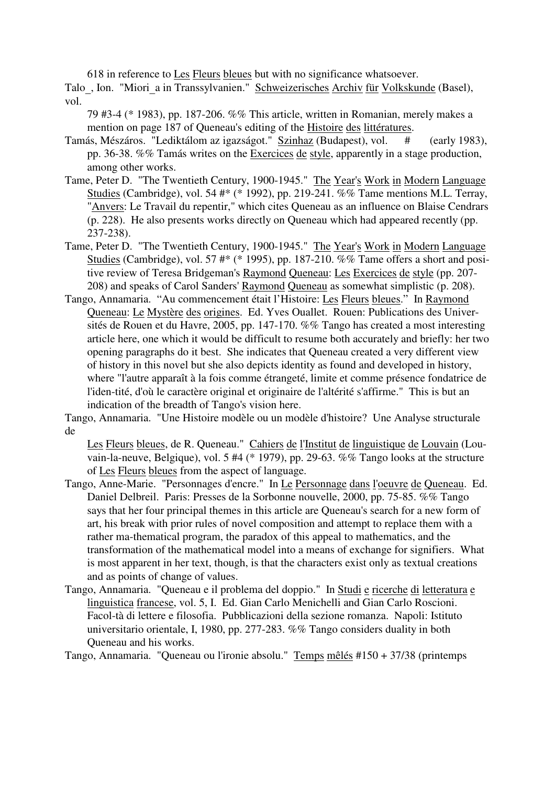618 in reference to Les Fleurs bleues but with no significance whatsoever.

Talo\_, Ion. "Miori\_a in Transsylvanien." Schweizerisches Archiv für Volkskunde (Basel), vol.

79 #3-4 (\* 1983), pp. 187-206. %% This article, written in Romanian, merely makes a mention on page 187 of Queneau's editing of the Histoire des littératures.

- Tamás, Mészáros. "Lediktálom az igazságot." Szinhaz (Budapest), vol. # (early 1983), pp. 36-38. %% Tamás writes on the Exercices de style, apparently in a stage production, among other works.
- Tame, Peter D. "The Twentieth Century, 1900-1945." The Year's Work in Modern Language Studies (Cambridge), vol. 54 #\* (\* 1992), pp. 219-241. %% Tame mentions M.L. Terray, "Anvers: Le Travail du repentir," which cites Queneau as an influence on Blaise Cendrars (p. 228). He also presents works directly on Queneau which had appeared recently (pp. 237-238).
- Tame, Peter D. "The Twentieth Century, 1900-1945." The Year's Work in Modern Language Studies (Cambridge), vol. 57 #\* (\* 1995), pp. 187-210. %% Tame offers a short and positive review of Teresa Bridgeman's Raymond Queneau: Les Exercices de style (pp. 207- 208) and speaks of Carol Sanders' Raymond Queneau as somewhat simplistic (p. 208).
- Tango, Annamaria. "Au commencement était l'Histoire: Les Fleurs bleues." In Raymond Queneau: Le Mystère des origines. Ed. Yves Ouallet. Rouen: Publications des Universités de Rouen et du Havre, 2005, pp. 147-170. %% Tango has created a most interesting article here, one which it would be difficult to resume both accurately and briefly: her two opening paragraphs do it best. She indicates that Queneau created a very different view of history in this novel but she also depicts identity as found and developed in history, where "l'autre apparaît à la fois comme étrangeté, limite et comme présence fondatrice de l'iden-tité, d'où le caractère original et originaire de l'altérité s'affirme." This is but an indication of the breadth of Tango's vision here.

Tango, Annamaria. "Une Histoire modèle ou un modèle d'histoire? Une Analyse structurale de

Les Fleurs bleues, de R. Queneau." Cahiers de l'Institut de linguistique de Louvain (Louvain-la-neuve, Belgique), vol. 5 #4 (\* 1979), pp. 29-63. %% Tango looks at the structure of Les Fleurs bleues from the aspect of language.

- Tango, Anne-Marie. "Personnages d'encre." In Le Personnage dans l'oeuvre de Queneau. Ed. Daniel Delbreil. Paris: Presses de la Sorbonne nouvelle, 2000, pp. 75-85. %% Tango says that her four principal themes in this article are Queneau's search for a new form of art, his break with prior rules of novel composition and attempt to replace them with a rather ma-thematical program, the paradox of this appeal to mathematics, and the transformation of the mathematical model into a means of exchange for signifiers. What is most apparent in her text, though, is that the characters exist only as textual creations and as points of change of values.
- Tango, Annamaria. "Queneau e il problema del doppio." In Studi e ricerche di letteratura e linguistica francese, vol. 5, I. Ed. Gian Carlo Menichelli and Gian Carlo Roscioni. Facol-tà di lettere e filosofia. Pubblicazioni della sezione romanza. Napoli: Istituto universitario orientale, I, 1980, pp. 277-283. %% Tango considers duality in both Queneau and his works.

Tango, Annamaria. "Queneau ou l'ironie absolu." Temps mêlés #150 + 37/38 (printemps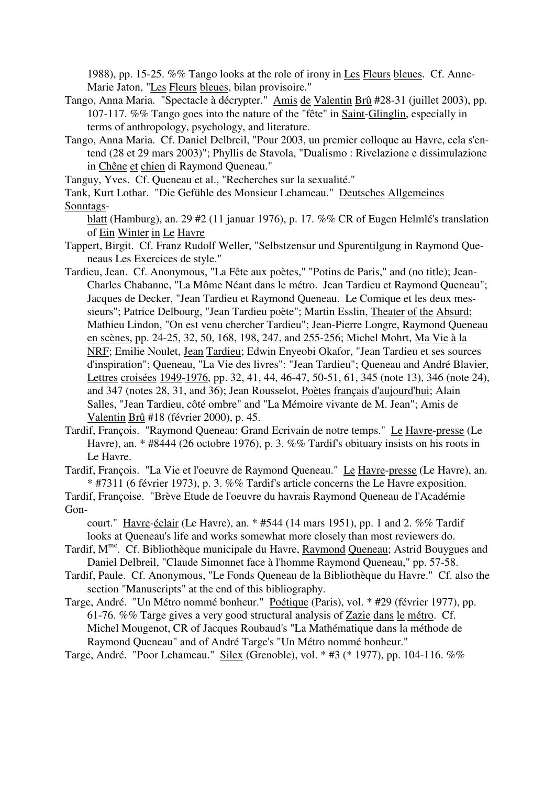1988), pp. 15-25. %% Tango looks at the role of irony in Les Fleurs bleues. Cf. Anne-Marie Jaton, "Les Fleurs bleues, bilan provisoire."

- Tango, Anna Maria. "Spectacle à décrypter." Amis de Valentin Brû #28-31 (juillet 2003), pp. 107-117. %% Tango goes into the nature of the "fête" in Saint-Glinglin, especially in terms of anthropology, psychology, and literature.
- Tango, Anna Maria. Cf. Daniel Delbreil, "Pour 2003, un premier colloque au Havre, cela s'entend (28 et 29 mars 2003)"; Phyllis de Stavola, "Dualismo : Rivelazione e dissimulazione in Chêne et chien di Raymond Queneau."
- Tanguy, Yves. Cf. Queneau et al., "Recherches sur la sexualité."
- Tank, Kurt Lothar. "Die Gefühle des Monsieur Lehameau." Deutsches Allgemeines Sonntags-

blatt (Hamburg), an. 29 #2 (11 januar 1976), p. 17. %% CR of Eugen Helmlé's translation of Ein Winter in Le Havre

- Tappert, Birgit. Cf. Franz Rudolf Weller, "Selbstzensur und Spurentilgung in Raymond Queneaus Les Exercices de style."
- Tardieu, Jean. Cf. Anonymous, "La Fête aux poètes," "Potins de Paris," and (no title); Jean-Charles Chabanne, "La Môme Néant dans le métro. Jean Tardieu et Raymond Queneau"; Jacques de Decker, "Jean Tardieu et Raymond Queneau. Le Comique et les deux messieurs"; Patrice Delbourg, "Jean Tardieu poète"; Martin Esslin, Theater of the Absurd; Mathieu Lindon, "On est venu chercher Tardieu"; Jean-Pierre Longre, Raymond Queneau en scènes, pp. 24-25, 32, 50, 168, 198, 247, and 255-256; Michel Mohrt, Ma Vie à la NRF; Emilie Noulet, Jean Tardieu; Edwin Enyeobi Okafor, "Jean Tardieu et ses sources d'inspiration"; Queneau, "La Vie des livres": "Jean Tardieu"; Queneau and André Blavier, Lettres croisées 1949-1976, pp. 32, 41, 44, 46-47, 50-51, 61, 345 (note 13), 346 (note 24), and 347 (notes 28, 31, and 36); Jean Rousselot, Poètes français d'aujourd'hui; Alain Salles, "Jean Tardieu, côté ombre" and "La Mémoire vivante de M. Jean"; Amis de Valentin Brû #18 (février 2000), p. 45.
- Tardif, François. "Raymond Queneau: Grand Ecrivain de notre temps." Le Havre-presse (Le Havre), an. \* #8444 (26 octobre 1976), p. 3. %% Tardif's obituary insists on his roots in Le Havre.
- Tardif, François. "La Vie et l'oeuvre de Raymond Queneau." Le Havre-presse (Le Havre), an. \* #7311 (6 février 1973), p. 3. %% Tardif's article concerns the Le Havre exposition.
- Tardif, Françoise. "Brève Etude de l'oeuvre du havrais Raymond Queneau de l'Académie Gon-

court." Havre-éclair (Le Havre), an. \* #544 (14 mars 1951), pp. 1 and 2. %% Tardif looks at Queneau's life and works somewhat more closely than most reviewers do.

- Tardif, M<sup>me</sup>. Cf. Bibliothèque municipale du Havre, Raymond Queneau; Astrid Bouygues and Daniel Delbreil, "Claude Simonnet face à l'homme Raymond Queneau," pp. 57-58.
- Tardif, Paule. Cf. Anonymous, "Le Fonds Queneau de la Bibliothèque du Havre." Cf. also the section "Manuscripts" at the end of this bibliography.
- Targe, André. "Un Métro nommé bonheur." Poétique (Paris), vol. \* #29 (février 1977), pp. 61-76. %% Targe gives a very good structural analysis of Zazie dans le métro. Cf. Michel Mougenot, CR of Jacques Roubaud's "La Mathématique dans la méthode de Raymond Queneau" and of André Targe's "Un Métro nommé bonheur."
- Targe, André. "Poor Lehameau." Silex (Grenoble), vol. \* #3 (\* 1977), pp. 104-116. %%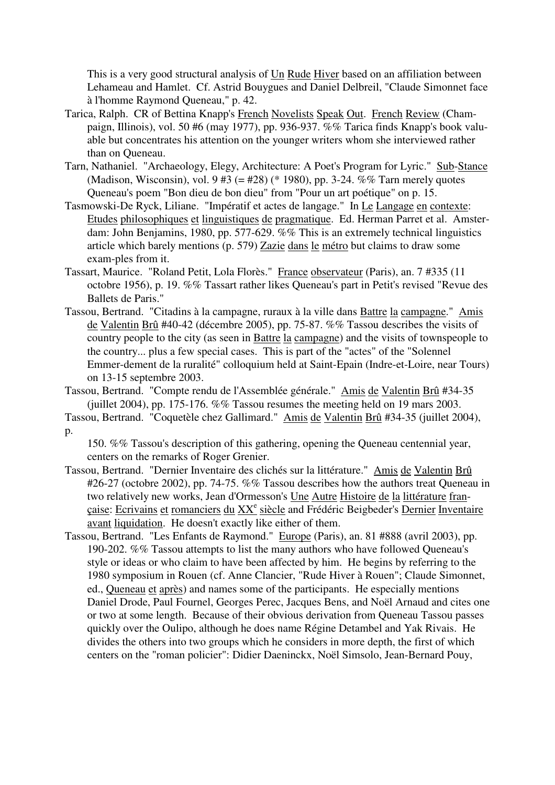This is a very good structural analysis of Un Rude Hiver based on an affiliation between Lehameau and Hamlet. Cf. Astrid Bouygues and Daniel Delbreil, "Claude Simonnet face à l'homme Raymond Queneau," p. 42.

- Tarica, Ralph. CR of Bettina Knapp's French Novelists Speak Out. French Review (Champaign, Illinois), vol. 50 #6 (may 1977), pp. 936-937. %% Tarica finds Knapp's book valuable but concentrates his attention on the younger writers whom she interviewed rather than on Queneau.
- Tarn, Nathaniel. "Archaeology, Elegy, Architecture: A Poet's Program for Lyric." Sub-Stance (Madison, Wisconsin), vol. 9 #3 (= #28) (\* 1980), pp. 3-24. %% Tarn merely quotes Queneau's poem "Bon dieu de bon dieu" from "Pour un art poétique" on p. 15.
- Tasmowski-De Ryck, Liliane. "Impératif et actes de langage." In Le Langage en contexte: Etudes philosophiques et linguistiques de pragmatique. Ed. Herman Parret et al. Amsterdam: John Benjamins, 1980, pp. 577-629. %% This is an extremely technical linguistics article which barely mentions (p. 579) Zazie dans le métro but claims to draw some exam-ples from it.
- Tassart, Maurice. "Roland Petit, Lola Florès." France observateur (Paris), an. 7 #335 (11 octobre 1956), p. 19. %% Tassart rather likes Queneau's part in Petit's revised "Revue des Ballets de Paris."
- Tassou, Bertrand. "Citadins à la campagne, ruraux à la ville dans Battre la campagne." Amis de Valentin Brû #40-42 (décembre 2005), pp. 75-87. %% Tassou describes the visits of country people to the city (as seen in Battre la campagne) and the visits of townspeople to the country... plus a few special cases. This is part of the "actes" of the "Solennel Emmer-dement de la ruralité" colloquium held at Saint-Epain (Indre-et-Loire, near Tours) on 13-15 septembre 2003.
- Tassou, Bertrand. "Compte rendu de l'Assemblée générale." Amis de Valentin Brû #34-35 (juillet 2004), pp. 175-176. %% Tassou resumes the meeting held on 19 mars 2003.
- Tassou, Bertrand. "Coquetèle chez Gallimard." Amis de Valentin Brû #34-35 (juillet 2004), p.

150. %% Tassou's description of this gathering, opening the Queneau centennial year, centers on the remarks of Roger Grenier.

- Tassou, Bertrand. "Dernier Inventaire des clichés sur la littérature." Amis de Valentin Brû #26-27 (octobre 2002), pp. 74-75. %% Tassou describes how the authors treat Queneau in two relatively new works, Jean d'Ormesson's Une Autre Histoire de la littérature française: Ecrivains et romanciers du XX<sup>e</sup> siècle and Frédéric Beigbeder's <u>Dernier</u> Inventaire avant liquidation. He doesn't exactly like either of them.
- Tassou, Bertrand. "Les Enfants de Raymond." Europe (Paris), an. 81 #888 (avril 2003), pp. 190-202. %% Tassou attempts to list the many authors who have followed Queneau's style or ideas or who claim to have been affected by him. He begins by referring to the 1980 symposium in Rouen (cf. Anne Clancier, "Rude Hiver à Rouen"; Claude Simonnet, ed., Queneau et après) and names some of the participants. He especially mentions Daniel Drode, Paul Fournel, Georges Perec, Jacques Bens, and Noël Arnaud and cites one or two at some length. Because of their obvious derivation from Queneau Tassou passes quickly over the Oulipo, although he does name Régine Detambel and Yak Rivais. He divides the others into two groups which he considers in more depth, the first of which centers on the "roman policier": Didier Daeninckx, Noël Simsolo, Jean-Bernard Pouy,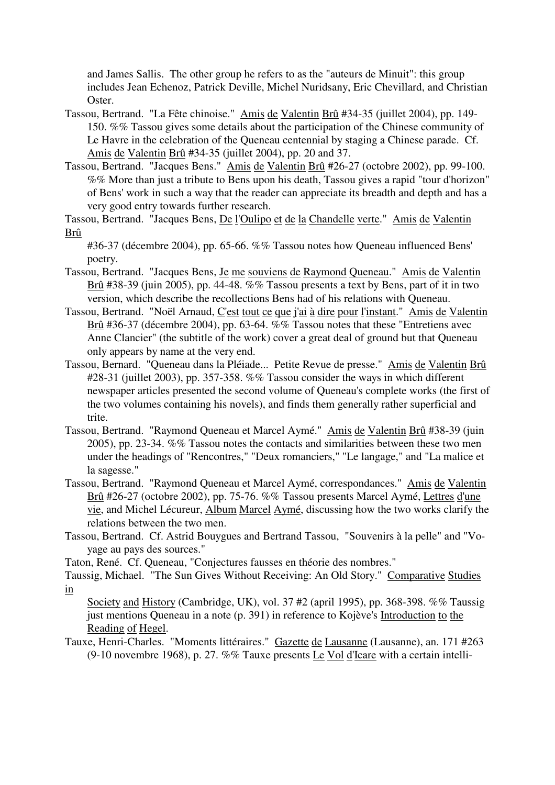and James Sallis. The other group he refers to as the "auteurs de Minuit": this group includes Jean Echenoz, Patrick Deville, Michel Nuridsany, Eric Chevillard, and Christian Oster.

- Tassou, Bertrand. "La Fête chinoise." Amis de Valentin Brû #34-35 (juillet 2004), pp. 149- 150. %% Tassou gives some details about the participation of the Chinese community of Le Havre in the celebration of the Queneau centennial by staging a Chinese parade. Cf. Amis de Valentin Brû #34-35 (juillet 2004), pp. 20 and 37.
- Tassou, Bertrand. "Jacques Bens." Amis de Valentin Brû #26-27 (octobre 2002), pp. 99-100. %% More than just a tribute to Bens upon his death, Tassou gives a rapid "tour d'horizon" of Bens' work in such a way that the reader can appreciate its breadth and depth and has a very good entry towards further research.
- Tassou, Bertrand. "Jacques Bens, De l'Oulipo et de la Chandelle verte." Amis de Valentin Brû

#36-37 (décembre 2004), pp. 65-66. %% Tassou notes how Queneau influenced Bens' poetry.

- Tassou, Bertrand. "Jacques Bens, Je me souviens de Raymond Queneau." Amis de Valentin Brû #38-39 (juin 2005), pp. 44-48. %% Tassou presents a text by Bens, part of it in two version, which describe the recollections Bens had of his relations with Queneau.
- Tassou, Bertrand. "Noël Arnaud, C'est tout ce que j'ai à dire pour l'instant." Amis de Valentin Brû #36-37 (décembre 2004), pp. 63-64. %% Tassou notes that these "Entretiens avec Anne Clancier" (the subtitle of the work) cover a great deal of ground but that Queneau only appears by name at the very end.
- Tassou, Bernard. "Queneau dans la Pléiade... Petite Revue de presse." Amis de Valentin Brû #28-31 (juillet 2003), pp. 357-358. %% Tassou consider the ways in which different newspaper articles presented the second volume of Queneau's complete works (the first of the two volumes containing his novels), and finds them generally rather superficial and trite.
- Tassou, Bertrand. "Raymond Queneau et Marcel Aymé." Amis de Valentin Brû #38-39 (juin 2005), pp. 23-34. %% Tassou notes the contacts and similarities between these two men under the headings of "Rencontres," "Deux romanciers," "Le langage," and "La malice et la sagesse."
- Tassou, Bertrand. "Raymond Queneau et Marcel Aymé, correspondances." Amis de Valentin Brû #26-27 (octobre 2002), pp. 75-76. %% Tassou presents Marcel Aymé, Lettres d'une vie, and Michel Lécureur, Album Marcel Aymé, discussing how the two works clarify the relations between the two men.
- Tassou, Bertrand. Cf. Astrid Bouygues and Bertrand Tassou, "Souvenirs à la pelle" and "Voyage au pays des sources."

Taton, René. Cf. Queneau, "Conjectures fausses en théorie des nombres."

Society and History (Cambridge, UK), vol. 37 #2 (april 1995), pp. 368-398. %% Taussig just mentions Queneau in a note (p. 391) in reference to Kojève's Introduction to the Reading of Hegel.

Tauxe, Henri-Charles. "Moments littéraires." Gazette de Lausanne (Lausanne), an. 171 #263 (9-10 novembre 1968), p. 27. %% Tauxe presents Le Vol d'Icare with a certain intelli-

Taussig, Michael. "The Sun Gives Without Receiving: An Old Story." Comparative Studies in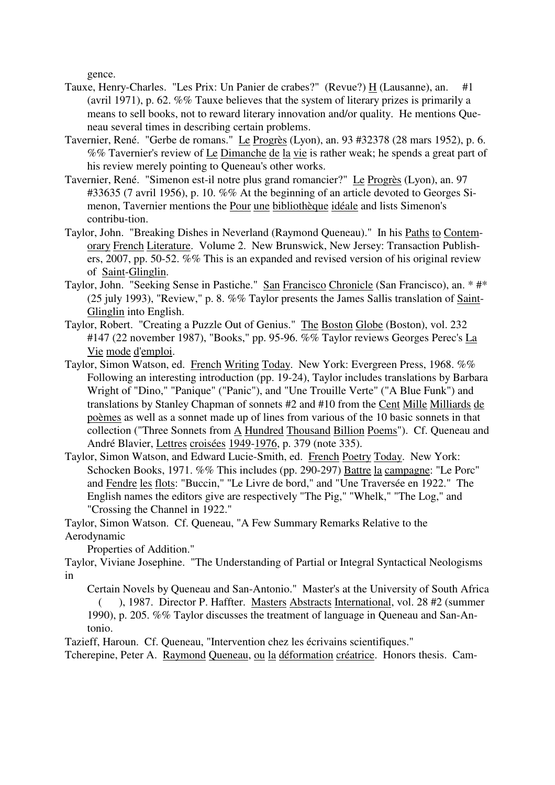gence.

- Tauxe, Henry-Charles. "Les Prix: Un Panier de crabes?" (Revue?)  $\underline{H}$  (Lausanne), an. #1 (avril 1971), p. 62. %% Tauxe believes that the system of literary prizes is primarily a means to sell books, not to reward literary innovation and/or quality. He mentions Queneau several times in describing certain problems.
- Tavernier, René. "Gerbe de romans." Le Progrès (Lyon), an. 93 #32378 (28 mars 1952), p. 6. %% Tavernier's review of Le Dimanche de la vie is rather weak; he spends a great part of his review merely pointing to Queneau's other works.
- Tavernier, René. "Simenon est-il notre plus grand romancier?" Le Progrès (Lyon), an. 97 #33635 (7 avril 1956), p. 10. %% At the beginning of an article devoted to Georges Simenon, Tavernier mentions the Pour une bibliothèque idéale and lists Simenon's contribu-tion.
- Taylor, John. "Breaking Dishes in Neverland (Raymond Queneau)." In his Paths to Contemorary French Literature. Volume 2. New Brunswick, New Jersey: Transaction Publishers, 2007, pp. 50-52. %% This is an expanded and revised version of his original review of Saint-Glinglin.
- Taylor, John. "Seeking Sense in Pastiche." San Francisco Chronicle (San Francisco), an. \* #\* (25 july 1993), "Review," p. 8. %% Taylor presents the James Sallis translation of Saint-Glinglin into English.
- Taylor, Robert. "Creating a Puzzle Out of Genius." The Boston Globe (Boston), vol. 232 #147 (22 november 1987), "Books," pp. 95-96. %% Taylor reviews Georges Perec's  $\underline{La}$ Vie mode d'emploi.
- Taylor, Simon Watson, ed. French Writing Today. New York: Evergreen Press, 1968. %% Following an interesting introduction (pp. 19-24), Taylor includes translations by Barbara Wright of "Dino," "Panique" ("Panic"), and "Une Trouille Verte" ("A Blue Funk") and translations by Stanley Chapman of sonnets #2 and #10 from the Cent Mille Milliards de poèmes as well as a sonnet made up of lines from various of the 10 basic sonnets in that collection ("Three Sonnets from A Hundred Thousand Billion Poems"). Cf. Queneau and André Blavier, Lettres croisées 1949-1976, p. 379 (note 335).
- Taylor, Simon Watson, and Edward Lucie-Smith, ed. French Poetry Today. New York: Schocken Books, 1971. %% This includes (pp. 290-297) Battre la campagne: "Le Porc" and Fendre les flots: "Buccin," "Le Livre de bord," and "Une Traversée en 1922." The English names the editors give are respectively "The Pig," "Whelk," "The Log," and "Crossing the Channel in 1922."

Taylor, Simon Watson. Cf. Queneau, "A Few Summary Remarks Relative to the Aerodynamic

Properties of Addition."

Taylor, Viviane Josephine. "The Understanding of Partial or Integral Syntactical Neologisms in

Certain Novels by Queneau and San-Antonio." Master's at the University of South Africa ( ), 1987. Director P. Haffter. Masters Abstracts International, vol. 28 #2 (summer 1990), p. 205. %% Taylor discusses the treatment of language in Queneau and San-Antonio.

Tazieff, Haroun. Cf. Queneau, "Intervention chez les écrivains scientifiques."

Tcherepine, Peter A. Raymond Queneau, ou la déformation créatrice. Honors thesis. Cam-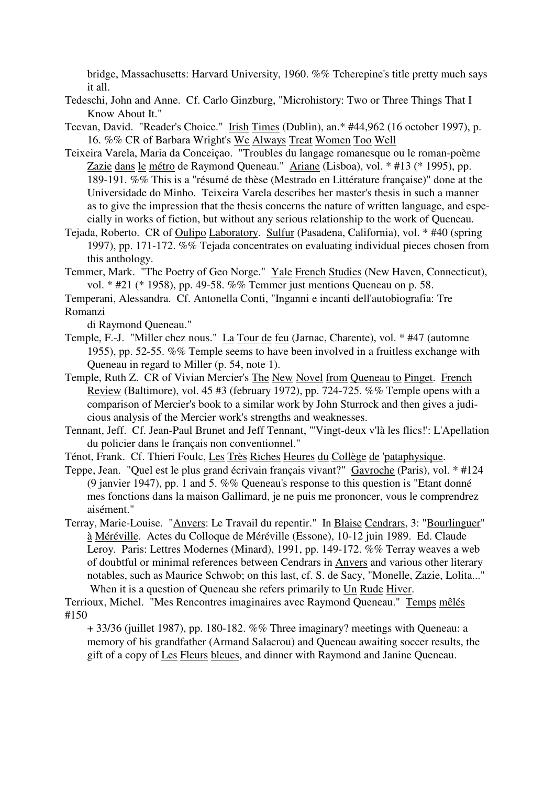bridge, Massachusetts: Harvard University, 1960. %% Tcherepine's title pretty much says it all.

- Tedeschi, John and Anne. Cf. Carlo Ginzburg, "Microhistory: Two or Three Things That I Know About It."
- Teevan, David. "Reader's Choice." Irish Times (Dublin), an.\* #44,962 (16 october 1997), p. 16. %% CR of Barbara Wright's We Always Treat Women Too Well
- Teixeira Varela, Maria da Conceiçao. "Troubles du langage romanesque ou le roman-poème Zazie dans le métro de Raymond Queneau." Ariane (Lisboa), vol. \* #13 (\* 1995), pp. 189-191. %% This is a "résumé de thèse (Mestrado en Littérature française)" done at the Universidade do Minho. Teixeira Varela describes her master's thesis in such a manner as to give the impression that the thesis concerns the nature of written language, and especially in works of fiction, but without any serious relationship to the work of Queneau.
- Tejada, Roberto. CR of Oulipo Laboratory. Sulfur (Pasadena, California), vol. \* #40 (spring 1997), pp. 171-172. %% Tejada concentrates on evaluating individual pieces chosen from this anthology.
- Temmer, Mark. "The Poetry of Geo Norge." Yale French Studies (New Haven, Connecticut), vol. \* #21 (\* 1958), pp. 49-58. %% Temmer just mentions Queneau on p. 58.
- Temperani, Alessandra. Cf. Antonella Conti, "Inganni e incanti dell'autobiografia: Tre Romanzi

di Raymond Queneau."

- Temple, F.-J. "Miller chez nous." La Tour de feu (Jarnac, Charente), vol. \* #47 (automne 1955), pp. 52-55. %% Temple seems to have been involved in a fruitless exchange with Queneau in regard to Miller (p. 54, note 1).
- Temple, Ruth Z. CR of Vivian Mercier's The New Novel from Queneau to Pinget. French Review (Baltimore), vol. 45 #3 (february 1972), pp. 724-725. %% Temple opens with a comparison of Mercier's book to a similar work by John Sturrock and then gives a judicious analysis of the Mercier work's strengths and weaknesses.
- Tennant, Jeff. Cf. Jean-Paul Brunet and Jeff Tennant, "'Vingt-deux v'là les flics!': L'Apellation du policier dans le français non conventionnel."
- Ténot, Frank. Cf. Thieri Foulc, Les Très Riches Heures du Collège de 'pataphysique.
- Teppe, Jean. "Quel est le plus grand écrivain français vivant?" Gavroche (Paris), vol. \* #124 (9 janvier 1947), pp. 1 and 5. %% Queneau's response to this question is "Etant donné mes fonctions dans la maison Gallimard, je ne puis me prononcer, vous le comprendrez aisément."
- Terray, Marie-Louise. "Anvers: Le Travail du repentir." In Blaise Cendrars, 3: "Bourlinguer" à Méréville. Actes du Colloque de Méréville (Essone), 10-12 juin 1989. Ed. Claude Leroy. Paris: Lettres Modernes (Minard), 1991, pp. 149-172. %% Terray weaves a web of doubtful or minimal references between Cendrars in Anvers and various other literary notables, such as Maurice Schwob; on this last, cf. S. de Sacy, "Monelle, Zazie, Lolita..." When it is a question of Queneau she refers primarily to Un Rude Hiver.

Terrioux, Michel. "Mes Rencontres imaginaires avec Raymond Queneau." Temps mêlés #150

+ 33/36 (juillet 1987), pp. 180-182. %% Three imaginary? meetings with Queneau: a memory of his grandfather (Armand Salacrou) and Queneau awaiting soccer results, the gift of a copy of Les Fleurs bleues, and dinner with Raymond and Janine Queneau.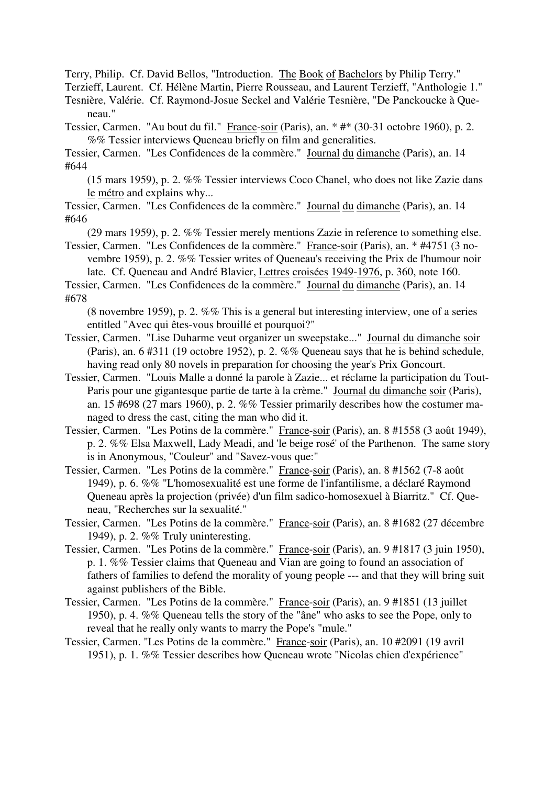Terry, Philip. Cf. David Bellos, "Introduction. The Book of Bachelors by Philip Terry."

Terzieff, Laurent. Cf. Hélène Martin, Pierre Rousseau, and Laurent Terzieff, "Anthologie 1."

Tesnière, Valérie. Cf. Raymond-Josue Seckel and Valérie Tesnière, "De Panckoucke à Queneau."

Tessier, Carmen. "Au bout du fil." France-soir (Paris), an. \* #\* (30-31 octobre 1960), p. 2. %% Tessier interviews Queneau briefly on film and generalities.

Tessier, Carmen. "Les Confidences de la commère." Journal du dimanche (Paris), an. 14 #644

(15 mars 1959), p. 2. %% Tessier interviews Coco Chanel, who does not like Zazie dans le métro and explains why...

Tessier, Carmen. "Les Confidences de la commère." Journal du dimanche (Paris), an. 14 #646

(29 mars 1959), p. 2. %% Tessier merely mentions Zazie in reference to something else. Tessier, Carmen. "Les Confidences de la commère." France-soir (Paris), an. \* #4751 (3 no-

vembre 1959), p. 2. %% Tessier writes of Queneau's receiving the Prix de l'humour noir late. Cf. Queneau and André Blavier, Lettres croisées 1949-1976, p. 360, note 160.

Tessier, Carmen. "Les Confidences de la commère." Journal du dimanche (Paris), an. 14 #678

(8 novembre 1959), p. 2. %% This is a general but interesting interview, one of a series entitled "Avec qui êtes-vous brouillé et pourquoi?"

- Tessier, Carmen. "Lise Duharme veut organizer un sweepstake..." Journal du dimanche soir (Paris), an. 6 #311 (19 octobre 1952), p. 2. %% Queneau says that he is behind schedule, having read only 80 novels in preparation for choosing the year's Prix Goncourt.
- Tessier, Carmen. "Louis Malle a donné la parole à Zazie... et réclame la participation du Tout-Paris pour une gigantesque partie de tarte à la crème." Journal du dimanche soir (Paris), an. 15 #698 (27 mars 1960), p. 2. %% Tessier primarily describes how the costumer managed to dress the cast, citing the man who did it.
- Tessier, Carmen. "Les Potins de la commère." France-soir (Paris), an. 8 #1558 (3 août 1949), p. 2. %% Elsa Maxwell, Lady Meadi, and 'le beige rosé' of the Parthenon. The same story is in Anonymous, "Couleur" and "Savez-vous que:"
- Tessier, Carmen. "Les Potins de la commère." France-soir (Paris), an. 8 #1562 (7-8 août 1949), p. 6. %% "L'homosexualité est une forme de l'infantilisme, a déclaré Raymond Queneau après la projection (privée) d'un film sadico-homosexuel à Biarritz." Cf. Queneau, "Recherches sur la sexualité."
- Tessier, Carmen. "Les Potins de la commère." France-soir (Paris), an. 8 #1682 (27 décembre 1949), p. 2. %% Truly uninteresting.
- Tessier, Carmen. "Les Potins de la commère." France-soir (Paris), an. 9 #1817 (3 juin 1950), p. 1. %% Tessier claims that Queneau and Vian are going to found an association of fathers of families to defend the morality of young people --- and that they will bring suit against publishers of the Bible.
- Tessier, Carmen. "Les Potins de la commère." France-soir (Paris), an. 9 #1851 (13 juillet 1950), p. 4. %% Queneau tells the story of the "âne" who asks to see the Pope, only to reveal that he really only wants to marry the Pope's "mule."
- Tessier, Carmen. "Les Potins de la commère." France-soir (Paris), an. 10 #2091 (19 avril 1951), p. 1. %% Tessier describes how Queneau wrote "Nicolas chien d'expérience"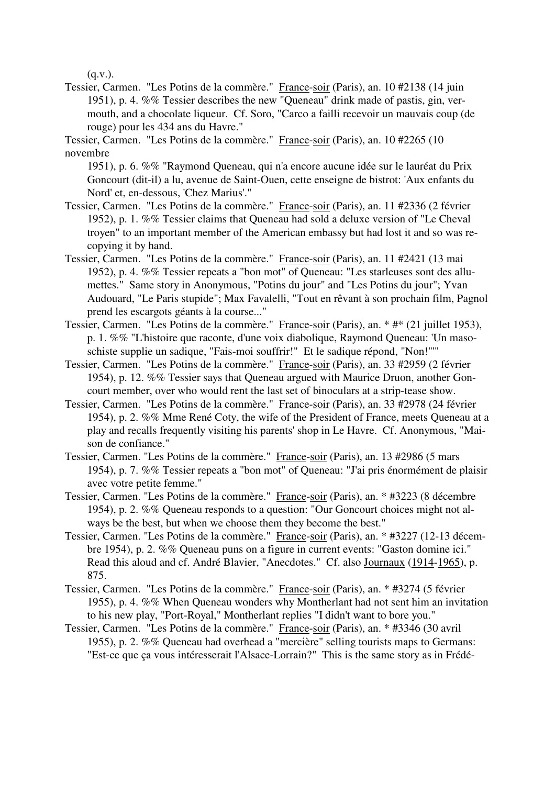$(q.v.).$ 

Tessier, Carmen. "Les Potins de la commère." France-soir (Paris), an. 10 #2138 (14 juin 1951), p. 4. %% Tessier describes the new "Queneau" drink made of pastis, gin, vermouth, and a chocolate liqueur. Cf. Soro, "Carco a failli recevoir un mauvais coup (de rouge) pour les 434 ans du Havre."

Tessier, Carmen. "Les Potins de la commère." France-soir (Paris), an. 10 #2265 (10 novembre

1951), p. 6. %% "Raymond Queneau, qui n'a encore aucune idée sur le lauréat du Prix Goncourt (dit-il) a lu, avenue de Saint-Ouen, cette enseigne de bistrot: 'Aux enfants du Nord' et, en-dessous, 'Chez Marius'."

- Tessier, Carmen. "Les Potins de la commère." France-soir (Paris), an. 11 #2336 (2 février 1952), p. 1. %% Tessier claims that Queneau had sold a deluxe version of "Le Cheval troyen" to an important member of the American embassy but had lost it and so was recopying it by hand.
- Tessier, Carmen. "Les Potins de la commère." France-soir (Paris), an. 11 #2421 (13 mai 1952), p. 4. %% Tessier repeats a "bon mot" of Queneau: "Les starleuses sont des allumettes." Same story in Anonymous, "Potins du jour" and "Les Potins du jour"; Yvan Audouard, "Le Paris stupide"; Max Favalelli, "Tout en rêvant à son prochain film, Pagnol prend les escargots géants à la course..."
- Tessier, Carmen. "Les Potins de la commère." France-soir (Paris), an. \* #\* (21 juillet 1953), p. 1. %% "L'histoire que raconte, d'une voix diabolique, Raymond Queneau: 'Un masoschiste supplie un sadique, "Fais-moi souffrir!" Et le sadique répond, "Non!"'"
- Tessier, Carmen. "Les Potins de la commère." France-soir (Paris), an. 33 #2959 (2 février 1954), p. 12. %% Tessier says that Queneau argued with Maurice Druon, another Goncourt member, over who would rent the last set of binoculars at a strip-tease show.
- Tessier, Carmen. "Les Potins de la commère." France-soir (Paris), an. 33 #2978 (24 février 1954), p. 2. %% Mme René Coty, the wife of the President of France, meets Queneau at a play and recalls frequently visiting his parents' shop in Le Havre. Cf. Anonymous, "Maison de confiance."
- Tessier, Carmen. "Les Potins de la commère." France-soir (Paris), an. 13 #2986 (5 mars 1954), p. 7. %% Tessier repeats a "bon mot" of Queneau: "J'ai pris énormément de plaisir avec votre petite femme."
- Tessier, Carmen. "Les Potins de la commère." France-soir (Paris), an. \* #3223 (8 décembre 1954), p. 2. %% Queneau responds to a question: "Our Goncourt choices might not always be the best, but when we choose them they become the best."
- Tessier, Carmen. "Les Potins de la commère." France-soir (Paris), an. \* #3227 (12-13 décembre 1954), p. 2. %% Queneau puns on a figure in current events: "Gaston domine ici." Read this aloud and cf. André Blavier, "Anecdotes." Cf. also Journaux (1914-1965), p. 875.
- Tessier, Carmen. "Les Potins de la commère." France-soir (Paris), an. \* #3274 (5 février 1955), p. 4. %% When Queneau wonders why Montherlant had not sent him an invitation to his new play, "Port-Royal," Montherlant replies "I didn't want to bore you."
- Tessier, Carmen. "Les Potins de la commère." France-soir (Paris), an. \* #3346 (30 avril 1955), p. 2. %% Queneau had overhead a "mercière" selling tourists maps to Germans: "Est-ce que ça vous intéresserait l'Alsace-Lorrain?" This is the same story as in Frédé-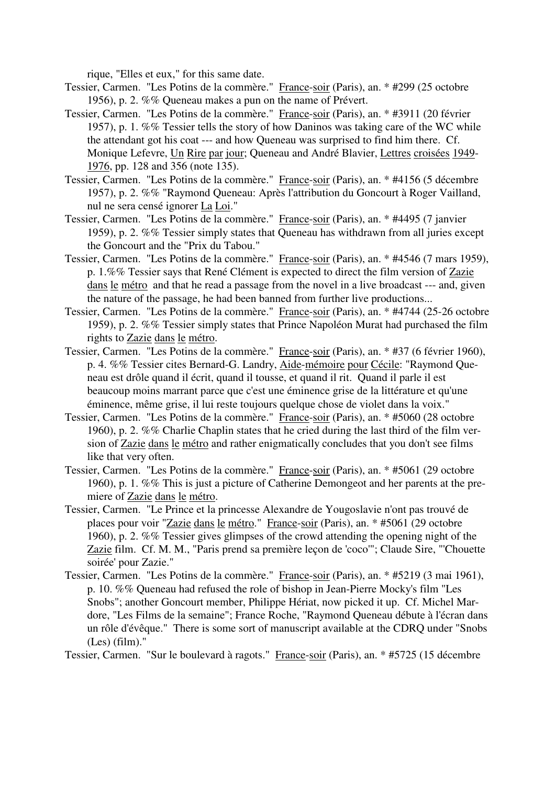rique, "Elles et eux," for this same date.

- Tessier, Carmen. "Les Potins de la commère." France-soir (Paris), an. \* #299 (25 octobre 1956), p. 2. %% Queneau makes a pun on the name of Prévert.
- Tessier, Carmen. "Les Potins de la commère." France-soir (Paris), an. \* #3911 (20 février 1957), p. 1. %% Tessier tells the story of how Daninos was taking care of the WC while the attendant got his coat --- and how Queneau was surprised to find him there. Cf. Monique Lefevre, Un Rire par jour; Queneau and André Blavier, Lettres croisées 1949- 1976, pp. 128 and 356 (note 135).
- Tessier, Carmen. "Les Potins de la commère." France-soir (Paris), an. \* #4156 (5 décembre 1957), p. 2. %% "Raymond Queneau: Après l'attribution du Goncourt à Roger Vailland, nul ne sera censé ignorer La Loi."
- Tessier, Carmen. "Les Potins de la commère." France-soir (Paris), an. \* #4495 (7 janvier 1959), p. 2. %% Tessier simply states that Queneau has withdrawn from all juries except the Goncourt and the "Prix du Tabou."
- Tessier, Carmen. "Les Potins de la commère." France-soir (Paris), an. \* #4546 (7 mars 1959), p. 1.%% Tessier says that René Clément is expected to direct the film version of Zazie dans le métro and that he read a passage from the novel in a live broadcast --- and, given the nature of the passage, he had been banned from further live productions...
- Tessier, Carmen. "Les Potins de la commère." France-soir (Paris), an. \* #4744 (25-26 octobre 1959), p. 2. %% Tessier simply states that Prince Napoléon Murat had purchased the film rights to Zazie dans le métro.
- Tessier, Carmen. "Les Potins de la commère." France-soir (Paris), an. \* #37 (6 février 1960), p. 4. %% Tessier cites Bernard-G. Landry, Aide-mémoire pour Cécile: "Raymond Queneau est drôle quand il écrit, quand il tousse, et quand il rit. Quand il parle il est beaucoup moins marrant parce que c'est une éminence grise de la littérature et qu'une éminence, même grise, il lui reste toujours quelque chose de violet dans la voix."
- Tessier, Carmen. "Les Potins de la commère." France-soir (Paris), an. \* #5060 (28 octobre 1960), p. 2. %% Charlie Chaplin states that he cried during the last third of the film version of Zazie dans le métro and rather enigmatically concludes that you don't see films like that very often.
- Tessier, Carmen. "Les Potins de la commère." France-soir (Paris), an. \* #5061 (29 octobre 1960), p. 1. %% This is just a picture of Catherine Demongeot and her parents at the premiere of Zazie dans le métro.
- Tessier, Carmen. "Le Prince et la princesse Alexandre de Yougoslavie n'ont pas trouvé de places pour voir "Zazie dans le métro." France-soir (Paris), an. \* #5061 (29 octobre 1960), p. 2. %% Tessier gives glimpses of the crowd attending the opening night of the Zazie film. Cf. M. M., "Paris prend sa première leçon de 'coco'"; Claude Sire, "'Chouette soirée' pour Zazie."
- Tessier, Carmen. "Les Potins de la commère." France-soir (Paris), an. \* #5219 (3 mai 1961), p. 10. %% Queneau had refused the role of bishop in Jean-Pierre Mocky's film "Les Snobs"; another Goncourt member, Philippe Hériat, now picked it up. Cf. Michel Mardore, "Les Films de la semaine"; France Roche, "Raymond Queneau débute à l'écran dans un rôle d'évêque." There is some sort of manuscript available at the CDRQ under "Snobs (Les) (film)."

Tessier, Carmen. "Sur le boulevard à ragots." France-soir (Paris), an. \* #5725 (15 décembre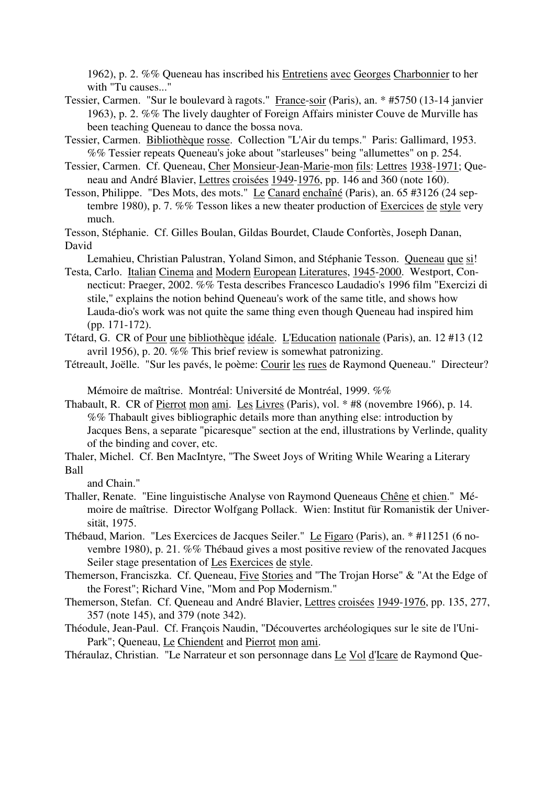1962), p. 2. %% Queneau has inscribed his Entretiens avec Georges Charbonnier to her with "Tu causes..."

- Tessier, Carmen. "Sur le boulevard à ragots." France-soir (Paris), an. \* #5750 (13-14 janvier 1963), p. 2. %% The lively daughter of Foreign Affairs minister Couve de Murville has been teaching Queneau to dance the bossa nova.
- Tessier, Carmen. Bibliothèque rosse. Collection "L'Air du temps." Paris: Gallimard, 1953. %% Tessier repeats Queneau's joke about "starleuses" being "allumettes" on p. 254.
- Tessier, Carmen. Cf. Queneau, Cher Monsieur-Jean-Marie-mon fils: Lettres 1938-1971; Queneau and André Blavier, Lettres croisées 1949-1976, pp. 146 and 360 (note 160).
- Tesson, Philippe. "Des Mots, des mots." Le Canard enchaîné (Paris), an. 65 #3126 (24 septembre 1980), p. 7. %% Tesson likes a new theater production of Exercices de style very much.
- Tesson, Stéphanie. Cf. Gilles Boulan, Gildas Bourdet, Claude Confortès, Joseph Danan, David
- Lemahieu, Christian Palustran, Yoland Simon, and Stéphanie Tesson. Queneau que si! Testa, Carlo. Italian Cinema and Modern European Literatures, 1945-2000. Westport, Con-
- necticut: Praeger, 2002. %% Testa describes Francesco Laudadio's 1996 film "Exercizi di stile," explains the notion behind Queneau's work of the same title, and shows how Lauda-dio's work was not quite the same thing even though Queneau had inspired him (pp. 171-172).
- Tétard, G. CR of Pour une bibliothèque idéale. L'Education nationale (Paris), an. 12 #13 (12 avril 1956), p. 20. %% This brief review is somewhat patronizing.
- Tétreault, Joëlle. "Sur les pavés, le poème: Courir les rues de Raymond Queneau." Directeur?

Mémoire de maîtrise. Montréal: Université de Montréal, 1999. %%

- Thabault, R. CR of Pierrot mon ami. Les Livres (Paris), vol. \* #8 (novembre 1966), p. 14. %% Thabault gives bibliographic details more than anything else: introduction by Jacques Bens, a separate "picaresque" section at the end, illustrations by Verlinde, quality of the binding and cover, etc.
- Thaler, Michel. Cf. Ben MacIntyre, "The Sweet Joys of Writing While Wearing a Literary Ball
	- and Chain."
- Thaller, Renate. "Eine linguistische Analyse von Raymond Queneaus Chêne et chien." Mémoire de maîtrise. Director Wolfgang Pollack. Wien: Institut für Romanistik der Universität, 1975.
- Thébaud, Marion. "Les Exercices de Jacques Seiler." Le Figaro (Paris), an. \* #11251 (6 novembre 1980), p. 21. %% Thébaud gives a most positive review of the renovated Jacques Seiler stage presentation of Les Exercices de style.
- Themerson, Franciszka. Cf. Queneau, Five Stories and "The Trojan Horse" & "At the Edge of the Forest"; Richard Vine, "Mom and Pop Modernism."
- Themerson, Stefan. Cf. Queneau and André Blavier, Lettres croisées 1949-1976, pp. 135, 277, 357 (note 145), and 379 (note 342).
- Théodule, Jean-Paul. Cf. François Naudin, "Découvertes archéologiques sur le site de l'Uni-Park"; Queneau, Le Chiendent and Pierrot mon ami.
- Théraulaz, Christian. "Le Narrateur et son personnage dans Le Vol d'Icare de Raymond Que-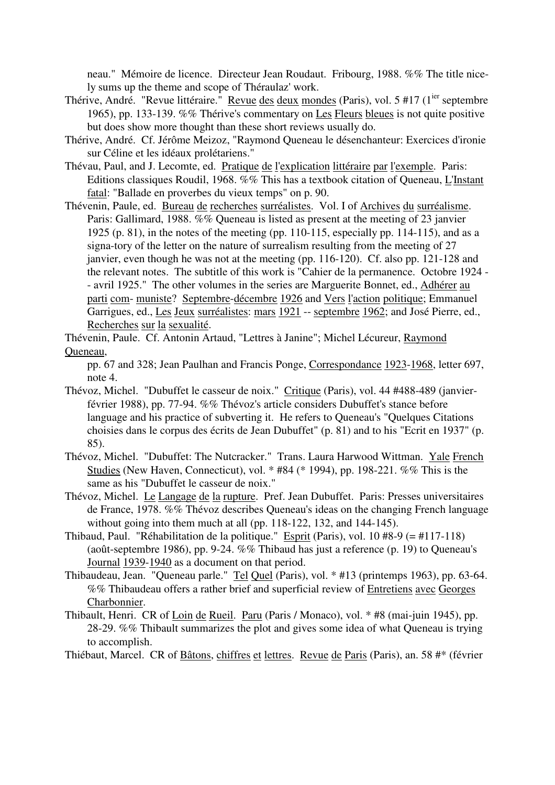neau." Mémoire de licence. Directeur Jean Roudaut. Fribourg, 1988. %% The title nicely sums up the theme and scope of Théraulaz' work.

- Thérive, André. "Revue littéraire." Revue des deux mondes (Paris), vol. 5 #17 (1<sup>ier</sup> septembre 1965), pp. 133-139. %% Thérive's commentary on Les Fleurs bleues is not quite positive but does show more thought than these short reviews usually do.
- Thérive, André. Cf. Jérôme Meizoz, "Raymond Queneau le désenchanteur: Exercices d'ironie sur Céline et les idéaux prolétariens."
- Thévau, Paul, and J. Lecomte, ed. Pratique de l'explication littéraire par l'exemple. Paris: Editions classiques Roudil, 1968. %% This has a textbook citation of Queneau, L'Instant fatal: "Ballade en proverbes du vieux temps" on p. 90.
- Thévenin, Paule, ed. Bureau de recherches surréalistes. Vol. I of Archives du surréalisme. Paris: Gallimard, 1988. %% Queneau is listed as present at the meeting of 23 janvier 1925 (p. 81), in the notes of the meeting (pp. 110-115, especially pp. 114-115), and as a signa-tory of the letter on the nature of surrealism resulting from the meeting of 27 janvier, even though he was not at the meeting (pp. 116-120). Cf. also pp. 121-128 and the relevant notes. The subtitle of this work is "Cahier de la permanence. Octobre 1924 - - avril 1925." The other volumes in the series are Marguerite Bonnet, ed., Adhérer au parti com- muniste? Septembre-décembre 1926 and Vers l'action politique; Emmanuel Garrigues, ed., Les Jeux surréalistes: mars 1921 -- septembre 1962; and José Pierre, ed., Recherches sur la sexualité.
- Thévenin, Paule. Cf. Antonin Artaud, "Lettres à Janine"; Michel Lécureur, Raymond Queneau,

pp. 67 and 328; Jean Paulhan and Francis Ponge, Correspondance 1923-1968, letter 697, note 4.

- Thévoz, Michel. "Dubuffet le casseur de noix." Critique (Paris), vol. 44 #488-489 (janvierfévrier 1988), pp. 77-94. %% Thévoz's article considers Dubuffet's stance before language and his practice of subverting it. He refers to Queneau's "Quelques Citations choisies dans le corpus des écrits de Jean Dubuffet" (p. 81) and to his "Ecrit en 1937" (p. 85).
- Thévoz, Michel. "Dubuffet: The Nutcracker." Trans. Laura Harwood Wittman. Yale French Studies (New Haven, Connecticut), vol. \* #84 (\* 1994), pp. 198-221. %% This is the same as his "Dubuffet le casseur de noix."
- Thévoz, Michel. Le Langage de la rupture. Pref. Jean Dubuffet. Paris: Presses universitaires de France, 1978. %% Thévoz describes Queneau's ideas on the changing French language without going into them much at all (pp. 118-122, 132, and 144-145).
- Thibaud, Paul. "Réhabilitation de la politique." Esprit (Paris), vol. 10 #8-9 (= #117-118) (août-septembre 1986), pp. 9-24. %% Thibaud has just a reference (p. 19) to Queneau's Journal 1939-1940 as a document on that period.
- Thibaudeau, Jean. "Queneau parle." Tel Quel (Paris), vol. \* #13 (printemps 1963), pp. 63-64. %% Thibaudeau offers a rather brief and superficial review of Entretiens avec Georges Charbonnier.
- Thibault, Henri. CR of Loin de Rueil. Paru (Paris / Monaco), vol. \* #8 (mai-juin 1945), pp. 28-29. %% Thibault summarizes the plot and gives some idea of what Queneau is trying to accomplish.
- Thiébaut, Marcel. CR of Bâtons, chiffres et lettres. Revue de Paris (Paris), an. 58 #\* (février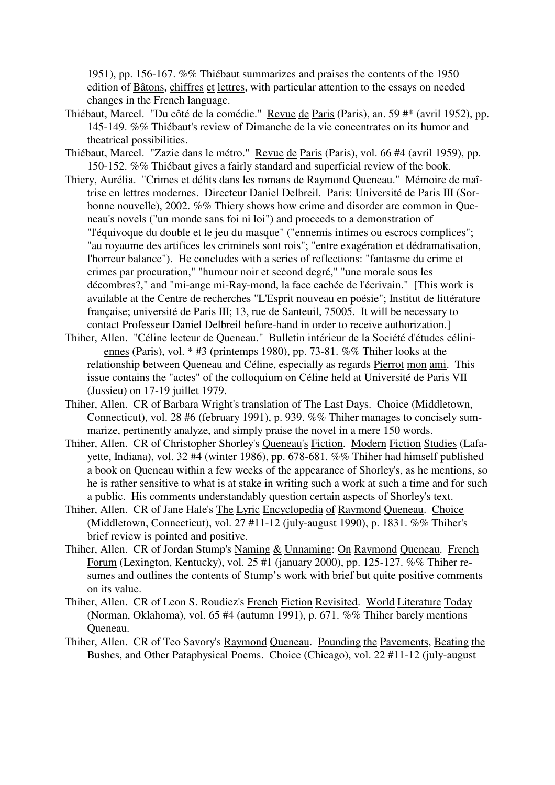1951), pp. 156-167. %% Thiébaut summarizes and praises the contents of the 1950 edition of Bâtons, chiffres et lettres, with particular attention to the essays on needed changes in the French language.

- Thiébaut, Marcel. "Du côté de la comédie." Revue de Paris (Paris), an. 59 #\* (avril 1952), pp. 145-149. %% Thiébaut's review of Dimanche de la vie concentrates on its humor and theatrical possibilities.
- Thiébaut, Marcel. "Zazie dans le métro." Revue de Paris (Paris), vol. 66 #4 (avril 1959), pp. 150-152. %% Thiébaut gives a fairly standard and superficial review of the book.
- Thiery, Aurélia. "Crimes et délits dans les romans de Raymond Queneau." Mémoire de maîtrise en lettres modernes. Directeur Daniel Delbreil. Paris: Université de Paris III (Sorbonne nouvelle), 2002. %% Thiery shows how crime and disorder are common in Queneau's novels ("un monde sans foi ni loi") and proceeds to a demonstration of "l'équivoque du double et le jeu du masque" ("ennemis intimes ou escrocs complices"; "au royaume des artifices les criminels sont rois"; "entre exagération et dédramatisation, l'horreur balance"). He concludes with a series of reflections: "fantasme du crime et crimes par procuration," "humour noir et second degré," "une morale sous les décombres?," and "mi-ange mi-Ray-mond, la face cachée de l'écrivain." [This work is available at the Centre de recherches "L'Esprit nouveau en poésie"; Institut de littérature française; université de Paris III; 13, rue de Santeuil, 75005. It will be necessary to contact Professeur Daniel Delbreil before-hand in order to receive authorization.]
- Thiher, Allen. "Céline lecteur de Queneau." Bulletin intérieur de la Société d'études célini ennes (Paris), vol. \* #3 (printemps 1980), pp. 73-81. %% Thiher looks at the relationship between Queneau and Céline, especially as regards Pierrot mon ami. This issue contains the "actes" of the colloquium on Céline held at Université de Paris VII (Jussieu) on 17-19 juillet 1979.
- Thiher, Allen. CR of Barbara Wright's translation of The Last Days. Choice (Middletown, Connecticut), vol. 28 #6 (february 1991), p. 939. %% Thiher manages to concisely summarize, pertinently analyze, and simply praise the novel in a mere 150 words.
- Thiher, Allen. CR of Christopher Shorley's Queneau's Fiction. Modern Fiction Studies (Lafayette, Indiana), vol. 32 #4 (winter 1986), pp. 678-681. %% Thiher had himself published a book on Queneau within a few weeks of the appearance of Shorley's, as he mentions, so he is rather sensitive to what is at stake in writing such a work at such a time and for such a public. His comments understandably question certain aspects of Shorley's text.
- Thiher, Allen. CR of Jane Hale's The Lyric Encyclopedia of Raymond Queneau. Choice (Middletown, Connecticut), vol. 27 #11-12 (july-august 1990), p. 1831. %% Thiher's brief review is pointed and positive.
- Thiher, Allen. CR of Jordan Stump's Naming & Unnaming: On Raymond Queneau. French Forum (Lexington, Kentucky), vol. 25 #1 (january 2000), pp. 125-127. %% Thiher resumes and outlines the contents of Stump's work with brief but quite positive comments on its value.
- Thiher, Allen. CR of Leon S. Roudiez's French Fiction Revisited. World Literature Today (Norman, Oklahoma), vol. 65 #4 (autumn 1991), p. 671. %% Thiher barely mentions Queneau.
- Thiher, Allen. CR of Teo Savory's Raymond Queneau. Pounding the Pavements, Beating the Bushes, and Other Pataphysical Poems. Choice (Chicago), vol. 22 #11-12 (july-august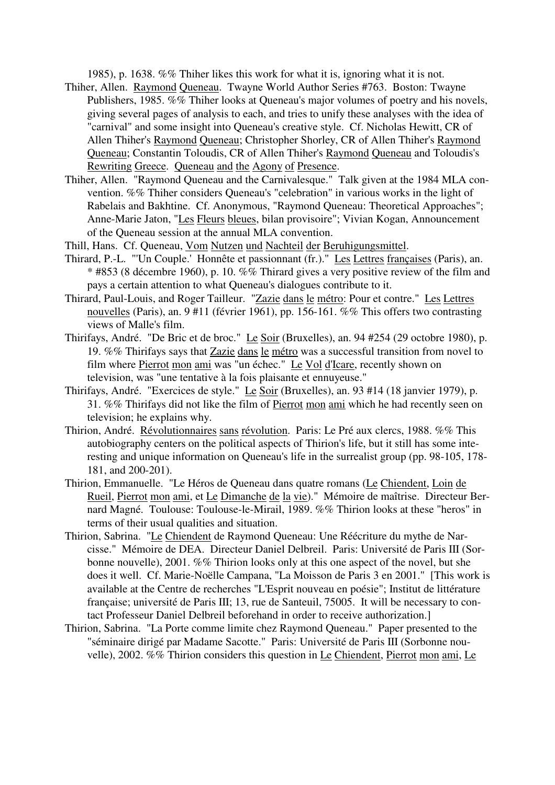1985), p. 1638. %% Thiher likes this work for what it is, ignoring what it is not.

- Thiher, Allen. Raymond Queneau. Twayne World Author Series #763. Boston: Twayne Publishers, 1985. %% Thiher looks at Queneau's major volumes of poetry and his novels, giving several pages of analysis to each, and tries to unify these analyses with the idea of "carnival" and some insight into Queneau's creative style. Cf. Nicholas Hewitt, CR of Allen Thiher's Raymond Queneau; Christopher Shorley, CR of Allen Thiher's Raymond Queneau; Constantin Toloudis, CR of Allen Thiher's Raymond Queneau and Toloudis's Rewriting Greece. Queneau and the Agony of Presence.
- Thiher, Allen. "Raymond Queneau and the Carnivalesque." Talk given at the 1984 MLA convention. %% Thiher considers Queneau's "celebration" in various works in the light of Rabelais and Bakhtine. Cf. Anonymous, "Raymond Queneau: Theoretical Approaches"; Anne-Marie Jaton, "Les Fleurs bleues, bilan provisoire"; Vivian Kogan, Announcement of the Queneau session at the annual MLA convention.
- Thill, Hans. Cf. Queneau, Vom Nutzen und Nachteil der Beruhigungsmittel.
- Thirard, P.-L. "'Un Couple.' Honnête et passionnant (fr.)." Les Lettres françaises (Paris), an.  $*$  #853 (8 décembre 1960), p. 10. %% Thirard gives a very positive review of the film and pays a certain attention to what Queneau's dialogues contribute to it.
- Thirard, Paul-Louis, and Roger Tailleur. "Zazie dans le métro: Pour et contre." Les Lettres nouvelles (Paris), an. 9 #11 (février 1961), pp. 156-161. %% This offers two contrasting views of Malle's film.
- Thirifays, André. "De Bric et de broc." Le Soir (Bruxelles), an. 94 #254 (29 octobre 1980), p. 19. %% Thirifays says that Zazie dans le métro was a successful transition from novel to film where Pierrot mon ami was "un échec." Le Vol d'Icare, recently shown on television, was "une tentative à la fois plaisante et ennuyeuse."
- Thirifays, André. "Exercices de style." Le Soir (Bruxelles), an. 93 #14 (18 janvier 1979), p. 31. %% Thirifays did not like the film of Pierrot mon ami which he had recently seen on television; he explains why.
- Thirion, André. Révolutionnaires sans révolution. Paris: Le Pré aux clercs, 1988. %% This autobiography centers on the political aspects of Thirion's life, but it still has some interesting and unique information on Queneau's life in the surrealist group (pp. 98-105, 178- 181, and 200-201).
- Thirion, Emmanuelle. "Le Héros de Queneau dans quatre romans (Le Chiendent, Loin de Rueil, Pierrot mon ami, et Le Dimanche de la vie)." Mémoire de maîtrise. Directeur Bernard Magné. Toulouse: Toulouse-le-Mirail, 1989. %% Thirion looks at these "heros" in terms of their usual qualities and situation.
- Thirion, Sabrina. "Le Chiendent de Raymond Queneau: Une Réécriture du mythe de Narcisse." Mémoire de DEA. Directeur Daniel Delbreil. Paris: Université de Paris III (Sorbonne nouvelle), 2001. %% Thirion looks only at this one aspect of the novel, but she does it well. Cf. Marie-Noëlle Campana, "La Moisson de Paris 3 en 2001." [This work is available at the Centre de recherches "L'Esprit nouveau en poésie"; Institut de littérature française; université de Paris III; 13, rue de Santeuil, 75005. It will be necessary to contact Professeur Daniel Delbreil beforehand in order to receive authorization.]
- Thirion, Sabrina. "La Porte comme limite chez Raymond Queneau." Paper presented to the "séminaire dirigé par Madame Sacotte." Paris: Université de Paris III (Sorbonne nouvelle), 2002. %% Thirion considers this question in Le Chiendent, Pierrot mon ami, Le